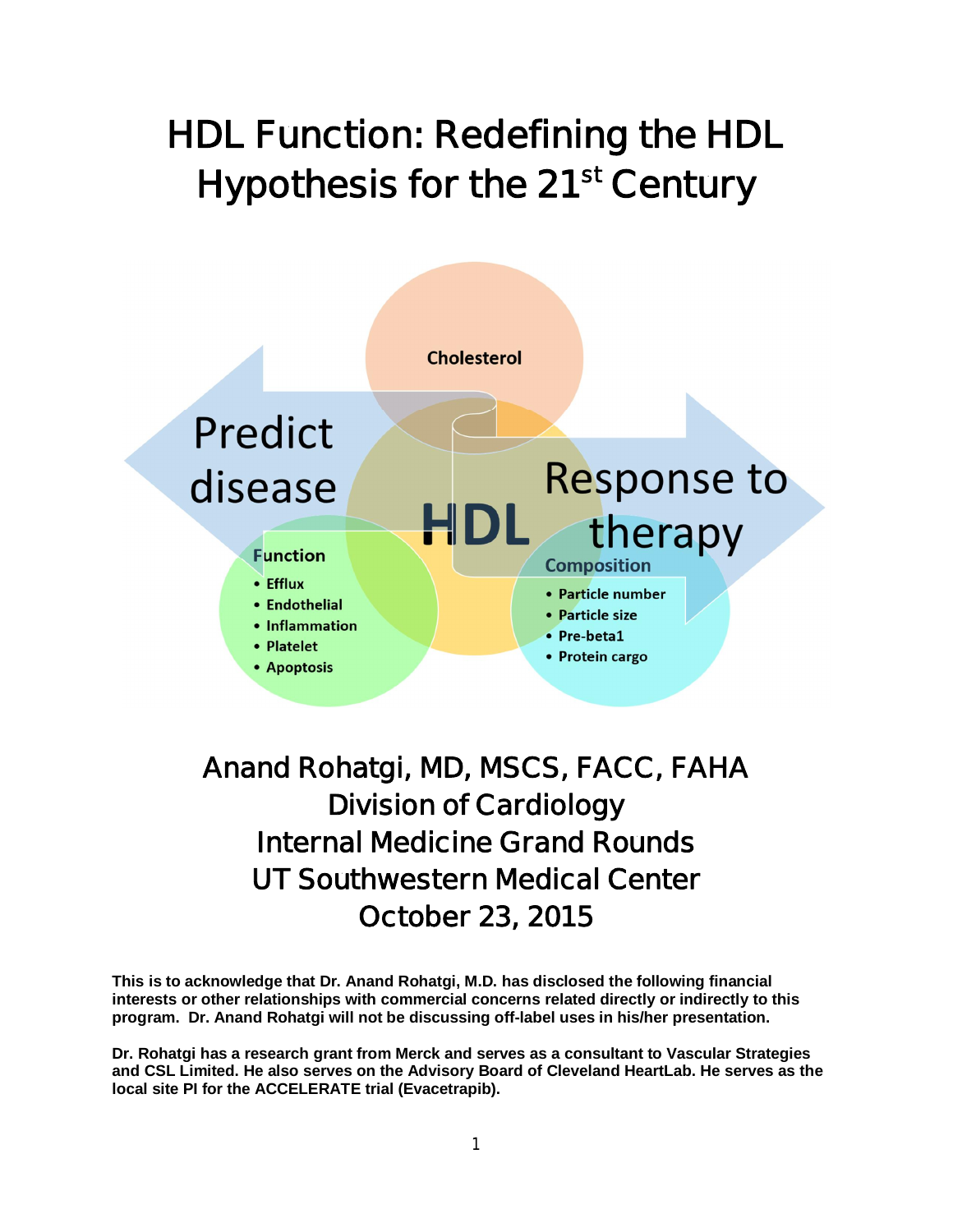# **HDL Function: Redefining the HDL Hypothesis for the 21st Century**



# **Anand Rohatgi, MD, MSCS, FACC, FAHA Division of Cardiology Internal Medicine Grand Rounds UT Southwestern Medical Center October 23, 2015**

**This is to acknowledge that Dr. Anand Rohatgi, M.D. has disclosed the following financial interests or other relationships with commercial concerns related directly or indirectly to this program. Dr. Anand Rohatgi will not be discussing off-label uses in his/her presentation.**

**Dr. Rohatgi has a research grant from Merck and serves as a consultant to Vascular Strategies and CSL Limited. He also serves on the Advisory Board of Cleveland HeartLab. He serves as the local site PI for the ACCELERATE trial (Evacetrapib).**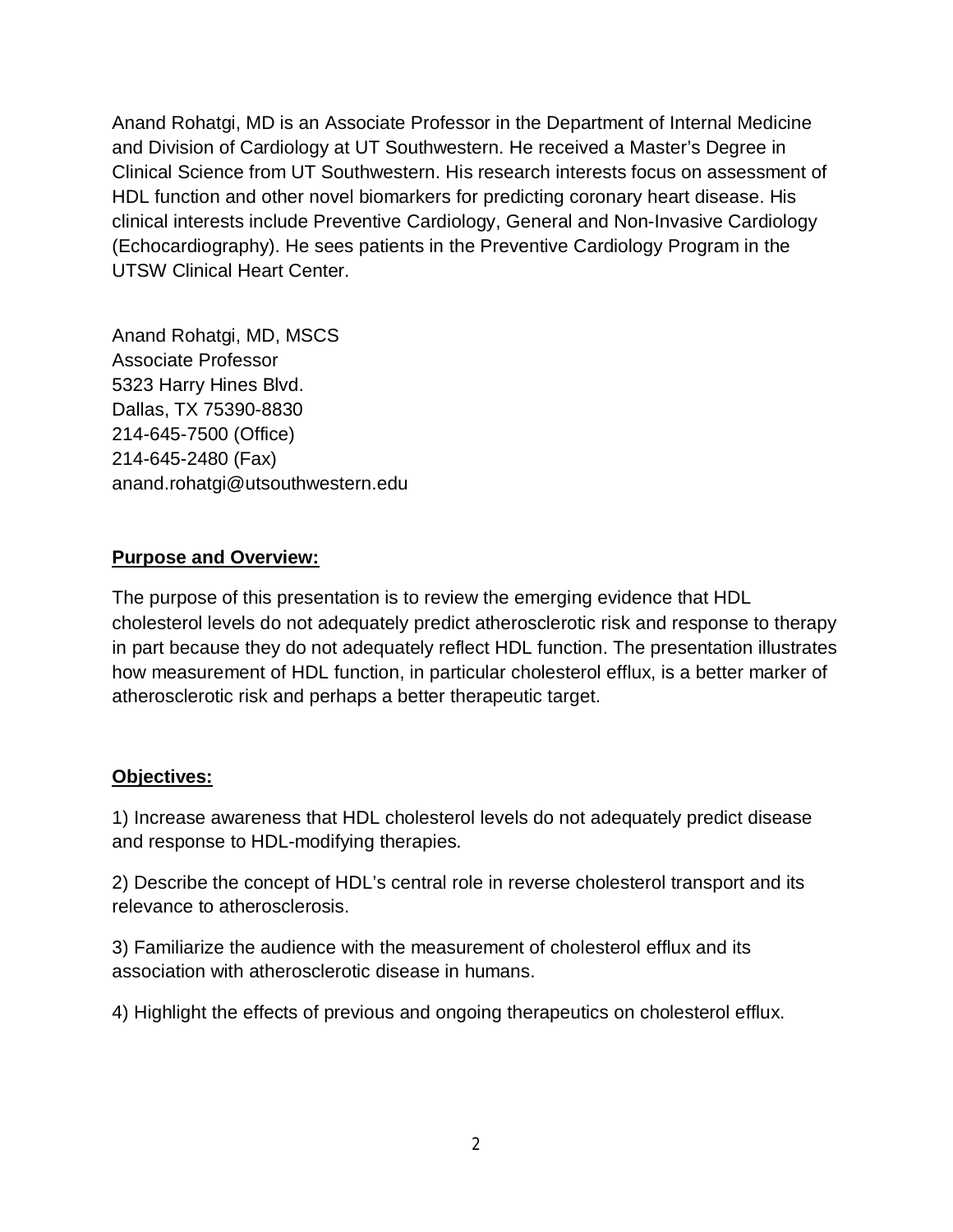Anand Rohatgi, MD is an Associate Professor in the Department of Internal Medicine and Division of Cardiology at UT Southwestern. He received a Master's Degree in Clinical Science from UT Southwestern. His research interests focus on assessment of HDL function and other novel biomarkers for predicting coronary heart disease. His clinical interests include Preventive Cardiology, General and Non-Invasive Cardiology (Echocardiography). He sees patients in the Preventive Cardiology Program in the UTSW Clinical Heart Center.

Anand Rohatgi, MD, MSCS Associate Professor 5323 Harry Hines Blvd. Dallas, TX 75390-8830 214-645-7500 (Office) 214-645-2480 (Fax) anand.rohatgi@utsouthwestern.edu

#### **Purpose and Overview:**

The purpose of this presentation is to review the emerging evidence that HDL cholesterol levels do not adequately predict atherosclerotic risk and response to therapy in part because they do not adequately reflect HDL function. The presentation illustrates how measurement of HDL function, in particular cholesterol efflux, is a better marker of atherosclerotic risk and perhaps a better therapeutic target.

## **Objectives:**

1) Increase awareness that HDL cholesterol levels do not adequately predict disease and response to HDL-modifying therapies.

2) Describe the concept of HDL's central role in reverse cholesterol transport and its relevance to atherosclerosis.

3) Familiarize the audience with the measurement of cholesterol efflux and its association with atherosclerotic disease in humans.

4) Highlight the effects of previous and ongoing therapeutics on cholesterol efflux.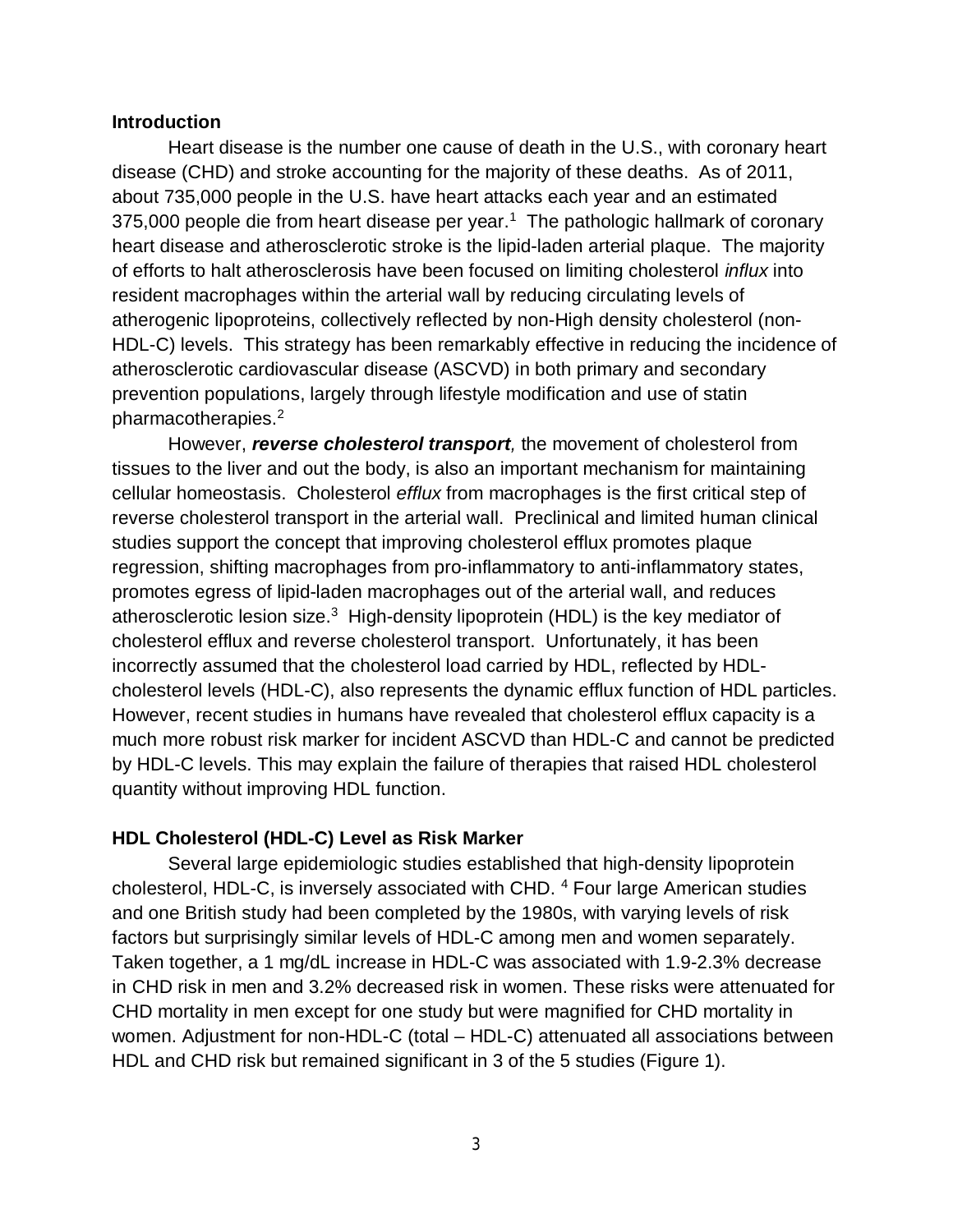#### **Introduction**

Heart disease is the number one cause of death in the U.S., with coronary heart disease (CHD) and stroke accounting for the majority of these deaths. As of 2011, about 735,000 people in the U.S. have heart attacks each year and an estimated 375,000 people die from heart disease per year. $1$  The pathologic hallmark of coronary heart disease and atherosclerotic stroke is the lipid-laden arterial plaque. The majority of efforts to halt atherosclerosis have been focused on limiting cholesterol *influx* into resident macrophages within the arterial wall by reducing circulating levels of atherogenic lipoproteins, collectively reflected by non-High density cholesterol (non-HDL-C) levels. This strategy has been remarkably effective in reducing the incidence of atherosclerotic cardiovascular disease (ASCVD) in both primary and secondary prevention populations, largely through lifestyle modification and use of statin pharmacotherapies.<sup>2</sup>

However, *reverse cholesterol transport,* the movement of cholesterol from tissues to the liver and out the body, is also an important mechanism for maintaining cellular homeostasis. Cholesterol *efflux* from macrophages is the first critical step of reverse cholesterol transport in the arterial wall. Preclinical and limited human clinical studies support the concept that improving cholesterol efflux promotes plaque regression, shifting macrophages from pro-inflammatory to anti-inflammatory states, promotes egress of lipid-laden macrophages out of the arterial wall, and reduces atherosclerotic lesion size.<sup>3</sup> High-density lipoprotein (HDL) is the key mediator of cholesterol efflux and reverse cholesterol transport. Unfortunately, it has been incorrectly assumed that the cholesterol load carried by HDL, reflected by HDLcholesterol levels (HDL-C), also represents the dynamic efflux function of HDL particles. However, recent studies in humans have revealed that cholesterol efflux capacity is a much more robust risk marker for incident ASCVD than HDL-C and cannot be predicted by HDL-C levels. This may explain the failure of therapies that raised HDL cholesterol quantity without improving HDL function.

#### **HDL Cholesterol (HDL-C) Level as Risk Marker**

Several large epidemiologic studies established that high-density lipoprotein cholesterol, HDL-C, is inversely associated with CHD. <sup>4</sup> Four large American studies and one British study had been completed by the 1980s, with varying levels of risk factors but surprisingly similar levels of HDL-C among men and women separately. Taken together, a 1 mg/dL increase in HDL-C was associated with 1.9-2.3% decrease in CHD risk in men and 3.2% decreased risk in women. These risks were attenuated for CHD mortality in men except for one study but were magnified for CHD mortality in women. Adjustment for non-HDL-C (total – HDL-C) attenuated all associations between HDL and CHD risk but remained significant in 3 of the 5 studies (Figure 1).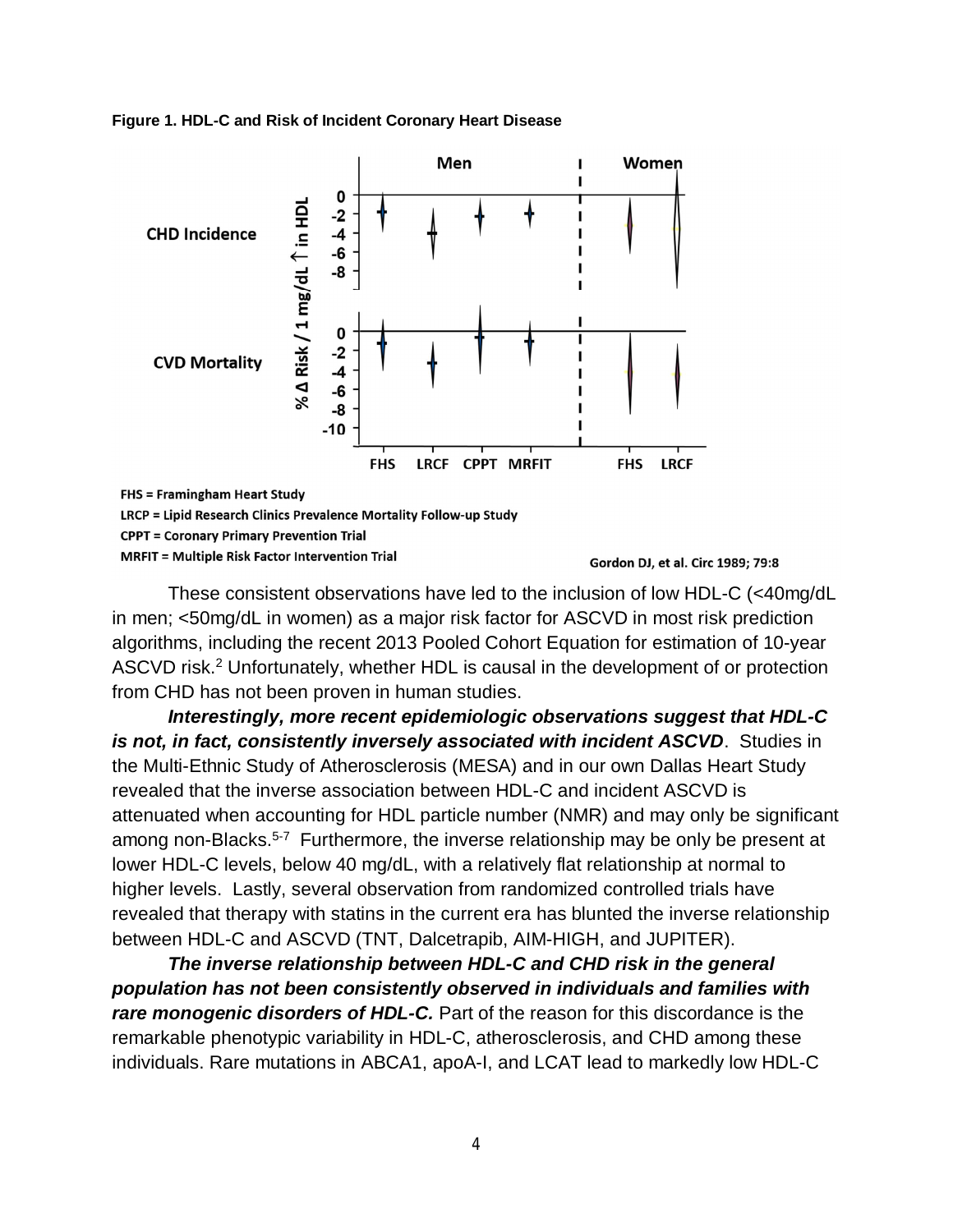#### **Figure 1. HDL-C and Risk of Incident Coronary Heart Disease**



**MRFIT = Multiple Risk Factor Intervention Trial** 

Gordon DJ, et al. Circ 1989; 79:8

These consistent observations have led to the inclusion of low HDL-C (<40mg/dL in men; <50mg/dL in women) as a major risk factor for ASCVD in most risk prediction algorithms, including the recent 2013 Pooled Cohort Equation for estimation of 10-year ASCVD risk.<sup>2</sup> Unfortunately, whether HDL is causal in the development of or protection from CHD has not been proven in human studies.

*Interestingly, more recent epidemiologic observations suggest that HDL-C is not, in fact, consistently inversely associated with incident ASCVD*. Studies in the Multi-Ethnic Study of Atherosclerosis (MESA) and in our own Dallas Heart Study revealed that the inverse association between HDL-C and incident ASCVD is attenuated when accounting for HDL particle number (NMR) and may only be significant among non-Blacks.<sup>5-7</sup> Furthermore, the inverse relationship may be only be present at lower HDL-C levels, below 40 mg/dL, with a relatively flat relationship at normal to higher levels. Lastly, several observation from randomized controlled trials have revealed that therapy with statins in the current era has blunted the inverse relationship between HDL-C and ASCVD (TNT, Dalcetrapib, AIM-HIGH, and JUPITER).

*The inverse relationship between HDL-C and CHD risk in the general population has not been consistently observed in individuals and families with rare monogenic disorders of HDL-C.* Part of the reason for this discordance is the remarkable phenotypic variability in HDL-C, atherosclerosis, and CHD among these individuals. Rare mutations in ABCA1, apoA-I, and LCAT lead to markedly low HDL-C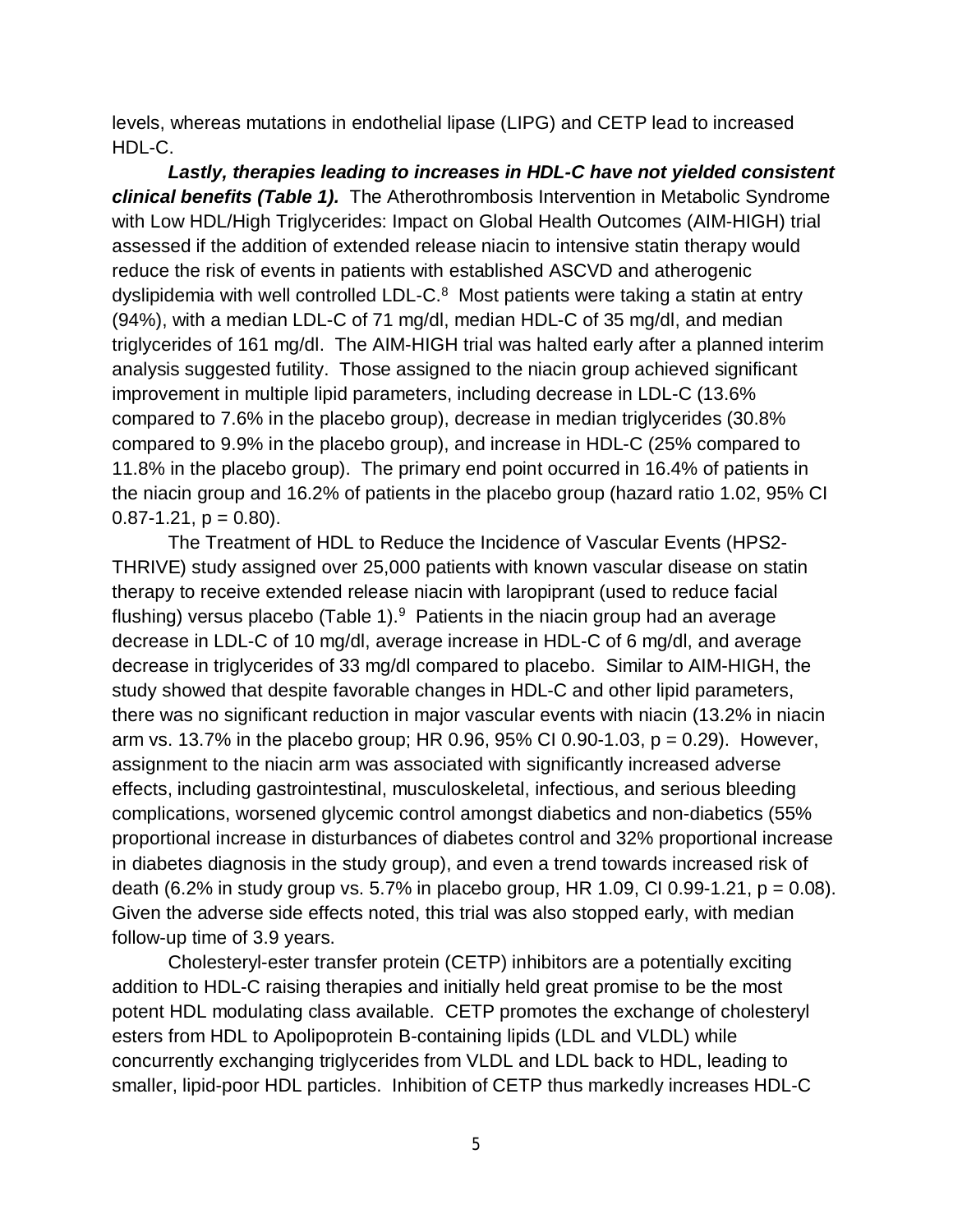levels, whereas mutations in endothelial lipase (LIPG) and CETP lead to increased HDL-C.

*Lastly, therapies leading to increases in HDL-C have not yielded consistent clinical benefits (Table 1).* The Atherothrombosis Intervention in Metabolic Syndrome with Low HDL/High Triglycerides: Impact on Global Health Outcomes (AIM-HIGH) trial assessed if the addition of extended release niacin to intensive statin therapy would reduce the risk of events in patients with established ASCVD and atherogenic dyslipidemia with well controlled LDL-C. $8$  Most patients were taking a statin at entry (94%), with a median LDL-C of 71 mg/dl, median HDL-C of 35 mg/dl, and median triglycerides of 161 mg/dl. The AIM-HIGH trial was halted early after a planned interim analysis suggested futility. Those assigned to the niacin group achieved significant improvement in multiple lipid parameters, including decrease in LDL-C (13.6% compared to 7.6% in the placebo group), decrease in median triglycerides (30.8% compared to 9.9% in the placebo group), and increase in HDL-C (25% compared to 11.8% in the placebo group). The primary end point occurred in 16.4% of patients in the niacin group and 16.2% of patients in the placebo group (hazard ratio 1.02, 95% CI  $0.87 - 1.21$ ,  $p = 0.80$ ).

The Treatment of HDL to Reduce the Incidence of Vascular Events (HPS2- THRIVE) study assigned over 25,000 patients with known vascular disease on statin therapy to receive extended release niacin with laropiprant (used to reduce facial flushing) versus placebo (Table 1). $9$  Patients in the niacin group had an average decrease in LDL-C of 10 mg/dl, average increase in HDL-C of 6 mg/dl, and average decrease in triglycerides of 33 mg/dl compared to placebo. Similar to AIM-HIGH, the study showed that despite favorable changes in HDL-C and other lipid parameters, there was no significant reduction in major vascular events with niacin (13.2% in niacin arm vs. 13.7% in the placebo group; HR 0.96, 95% CI 0.90-1.03,  $p = 0.29$ ). However, assignment to the niacin arm was associated with significantly increased adverse effects, including gastrointestinal, musculoskeletal, infectious, and serious bleeding complications, worsened glycemic control amongst diabetics and non-diabetics (55% proportional increase in disturbances of diabetes control and 32% proportional increase in diabetes diagnosis in the study group), and even a trend towards increased risk of death (6.2% in study group vs. 5.7% in placebo group, HR 1.09, CI 0.99-1.21,  $p = 0.08$ ). Given the adverse side effects noted, this trial was also stopped early, with median follow-up time of 3.9 years.

Cholesteryl-ester transfer protein (CETP) inhibitors are a potentially exciting addition to HDL-C raising therapies and initially held great promise to be the most potent HDL modulating class available. CETP promotes the exchange of cholesteryl esters from HDL to Apolipoprotein B-containing lipids (LDL and VLDL) while concurrently exchanging triglycerides from VLDL and LDL back to HDL, leading to smaller, lipid-poor HDL particles. Inhibition of CETP thus markedly increases HDL-C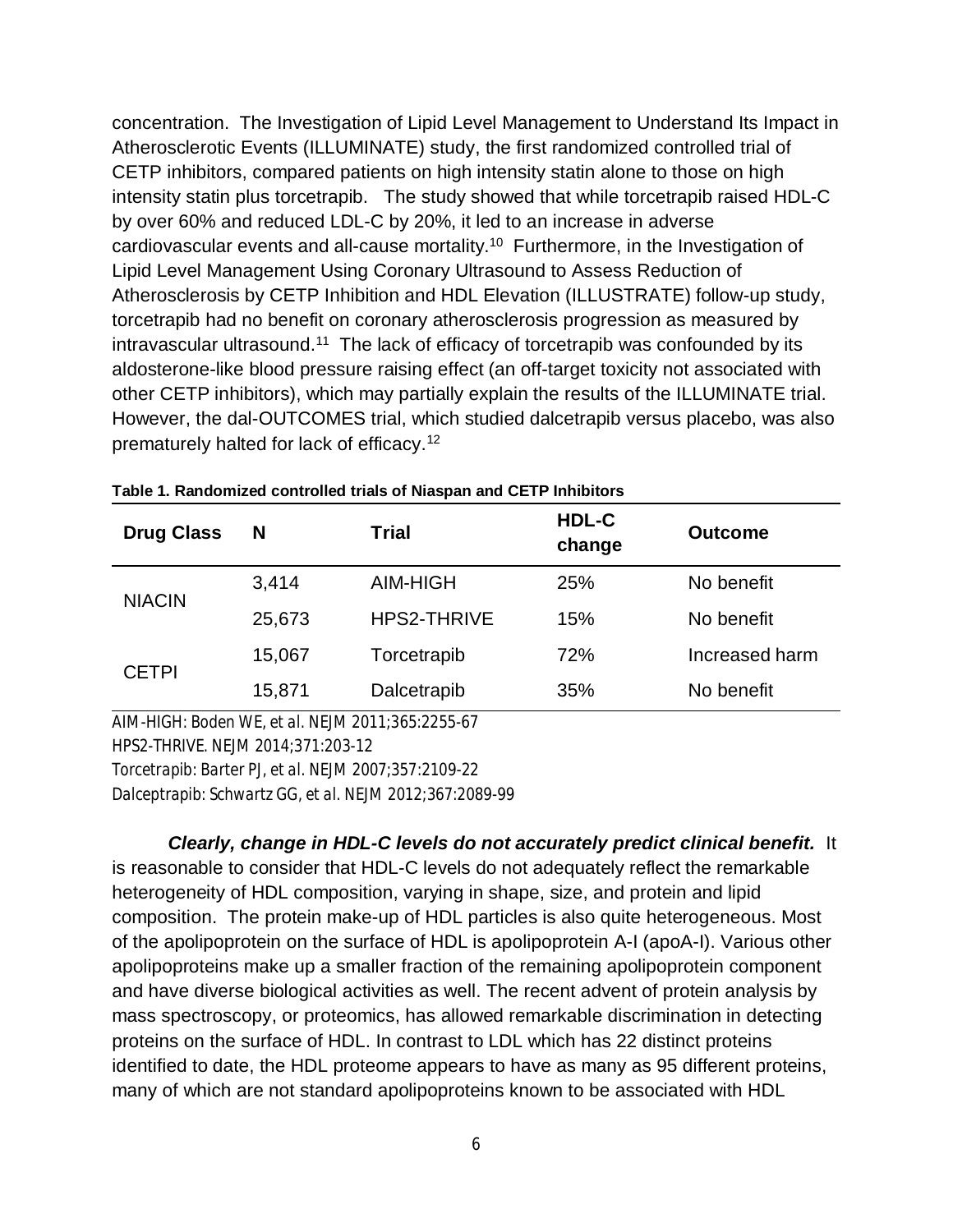concentration. The Investigation of Lipid Level Management to Understand Its Impact in Atherosclerotic Events (ILLUMINATE) study, the first randomized controlled trial of CETP inhibitors, compared patients on high intensity statin alone to those on high intensity statin plus torcetrapib. The study showed that while torcetrapib raised HDL-C by over 60% and reduced LDL-C by 20%, it led to an increase in adverse cardiovascular events and all-cause mortality.<sup>10</sup> Furthermore, in the Investigation of Lipid Level Management Using Coronary Ultrasound to Assess Reduction of Atherosclerosis by CETP Inhibition and HDL Elevation (ILLUSTRATE) follow-up study, torcetrapib had no benefit on coronary atherosclerosis progression as measured by  $intrav$  ultrasound.<sup>11</sup> The lack of efficacy of torcetrapib was confounded by its aldosterone-like blood pressure raising effect (an off-target toxicity not associated with other CETP inhibitors), which may partially explain the results of the ILLUMINATE trial. However, the dal-OUTCOMES trial, which studied dalcetrapib versus placebo, was also prematurely halted for lack of efficacy.<sup>12</sup>

| <b>Drug Class</b> | N      | <b>Trial</b>       | <b>HDL-C</b><br>change | <b>Outcome</b> |
|-------------------|--------|--------------------|------------------------|----------------|
| <b>NIACIN</b>     | 3,414  | AIM-HIGH           | 25%                    | No benefit     |
|                   | 25,673 | <b>HPS2-THRIVE</b> | 15%                    | No benefit     |
| <b>CETPI</b>      | 15,067 | Torcetrapib        | 72%                    | Increased harm |
|                   | 15,871 | Dalcetrapib        | 35%                    | No benefit     |

**Table 1. Randomized controlled trials of Niaspan and CETP Inhibitors**

*AIM-HIGH: Boden WE, et al. NEJM 2011;365:2255-67 HPS2-THRIVE. NEJM 2014;371:203-12 Torcetrapib: Barter PJ, et al. NEJM 2007;357:2109-22 Dalceptrapib: Schwartz GG, et al. NEJM 2012;367:2089-99*

*Clearly, change in HDL-C levels do not accurately predict clinical benefit.* It is reasonable to consider that HDL-C levels do not adequately reflect the remarkable heterogeneity of HDL composition, varying in shape, size, and protein and lipid composition. The protein make-up of HDL particles is also quite heterogeneous. Most of the apolipoprotein on the surface of HDL is apolipoprotein A-I (apoA-I). Various other apolipoproteins make up a smaller fraction of the remaining apolipoprotein component and have diverse biological activities as well. The recent advent of protein analysis by mass spectroscopy, or proteomics, has allowed remarkable discrimination in detecting proteins on the surface of HDL. In contrast to LDL which has 22 distinct proteins identified to date, the HDL proteome appears to have as many as 95 different proteins, many of which are not standard apolipoproteins known to be associated with HDL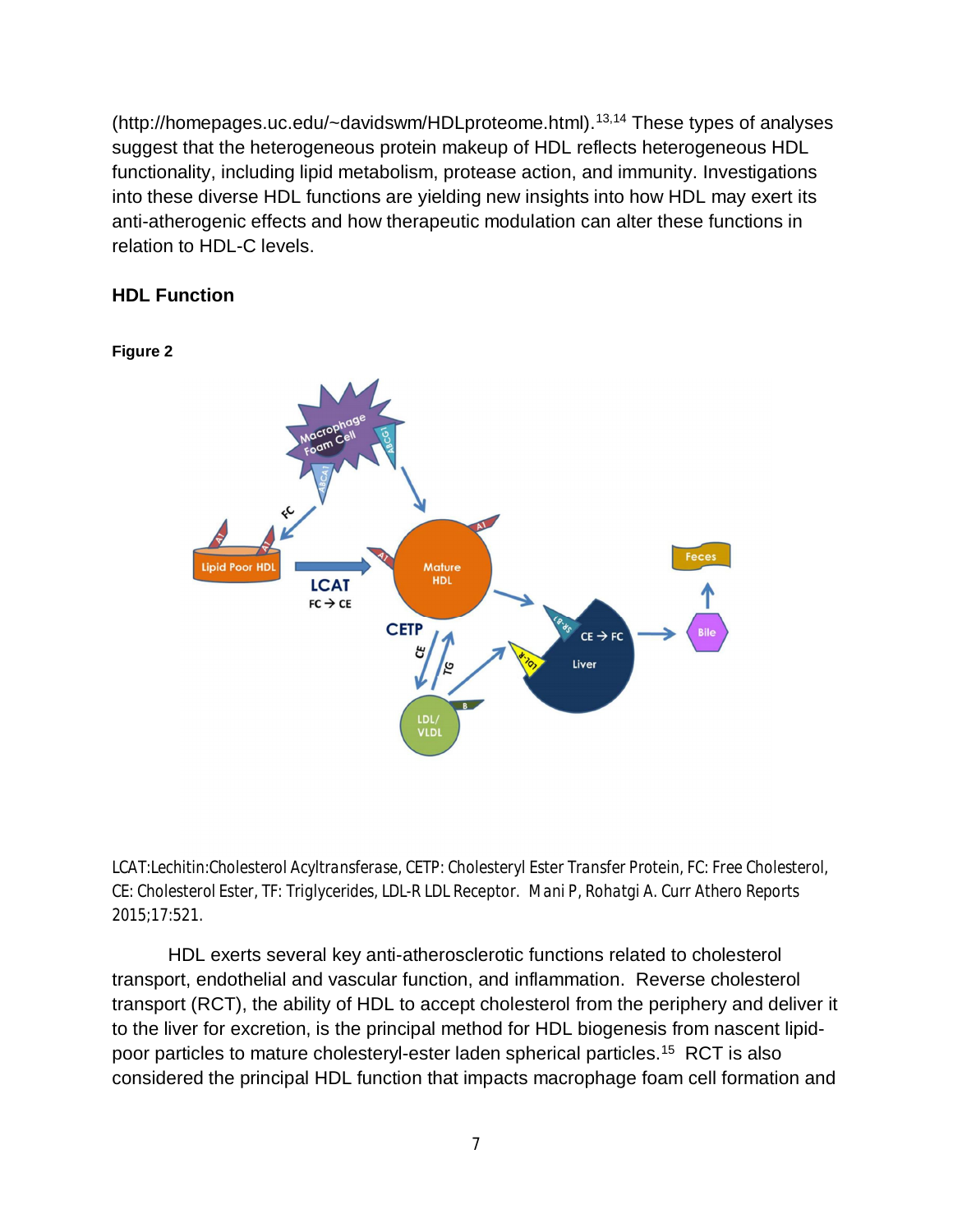(http://homepages.uc.edu/~davidswm/HDLproteome.html).13,14 These types of analyses suggest that the heterogeneous protein makeup of HDL reflects heterogeneous HDL functionality, including lipid metabolism, protease action, and immunity. Investigations into these diverse HDL functions are yielding new insights into how HDL may exert its anti-atherogenic effects and how therapeutic modulation can alter these functions in relation to HDL-C levels.

#### **HDL Function**

**Figure 2**



*LCAT:Lechitin:Cholesterol Acyltransferase, CETP: Cholesteryl Ester Transfer Protein, FC: Free Cholesterol, CE: Cholesterol Ester, TF: Triglycerides, LDL-R LDL Receptor. Mani P, Rohatgi A. Curr Athero Reports 2015;17:521.*

HDL exerts several key anti-atherosclerotic functions related to cholesterol transport, endothelial and vascular function, and inflammation. Reverse cholesterol transport (RCT), the ability of HDL to accept cholesterol from the periphery and deliver it to the liver for excretion, is the principal method for HDL biogenesis from nascent lipidpoor particles to mature cholesteryl-ester laden spherical particles.<sup>15</sup> RCT is also considered the principal HDL function that impacts macrophage foam cell formation and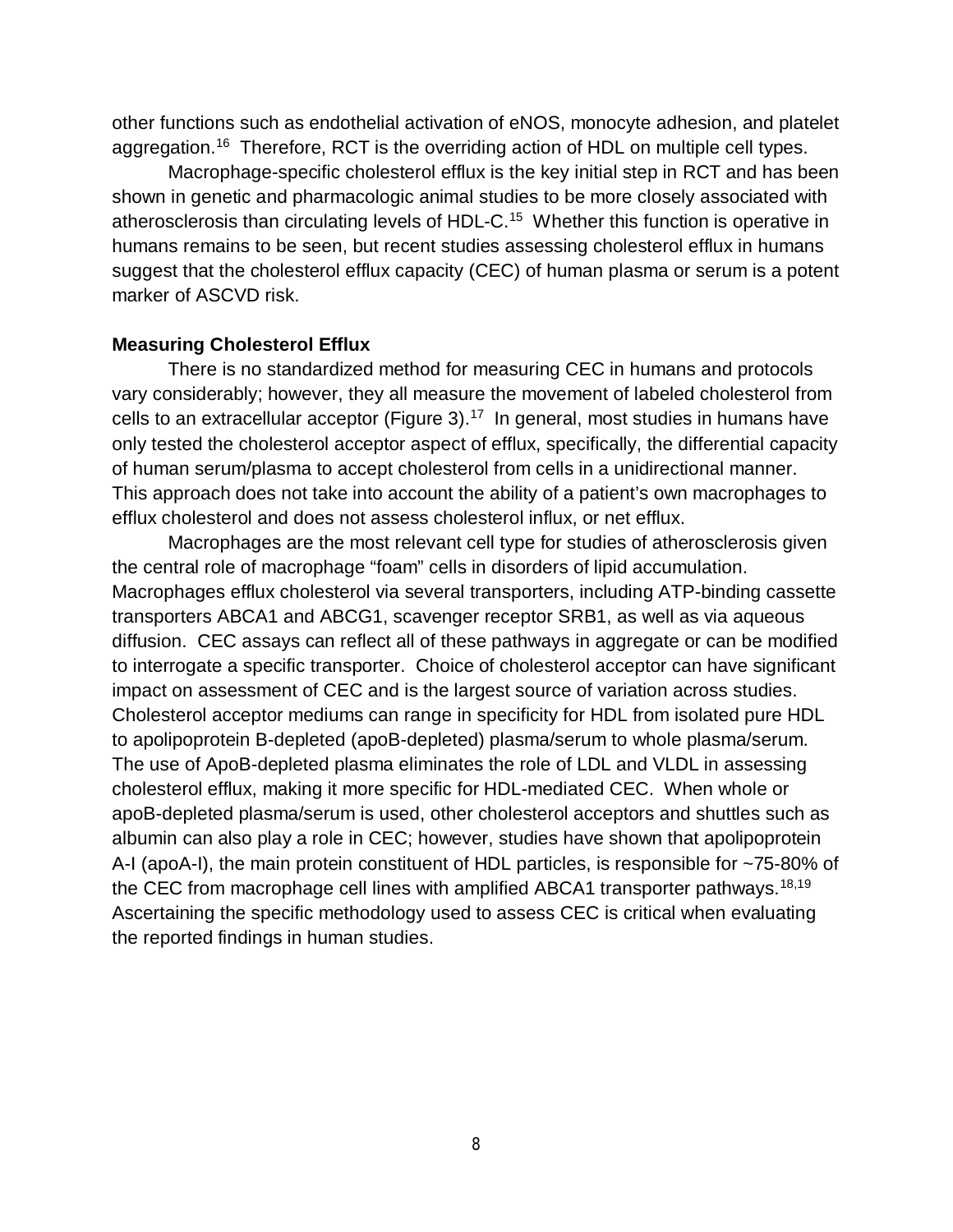other functions such as endothelial activation of eNOS, monocyte adhesion, and platelet aggregation.<sup>16</sup> Therefore, RCT is the overriding action of HDL on multiple cell types.

Macrophage-specific cholesterol efflux is the key initial step in RCT and has been shown in genetic and pharmacologic animal studies to be more closely associated with atherosclerosis than circulating levels of HDL-C.<sup>15</sup> Whether this function is operative in humans remains to be seen, but recent studies assessing cholesterol efflux in humans suggest that the cholesterol efflux capacity (CEC) of human plasma or serum is a potent marker of ASCVD risk.

#### **Measuring Cholesterol Efflux**

There is no standardized method for measuring CEC in humans and protocols vary considerably; however, they all measure the movement of labeled cholesterol from cells to an extracellular acceptor (Figure 3).<sup>17</sup> In general, most studies in humans have only tested the cholesterol acceptor aspect of efflux, specifically, the differential capacity of human serum/plasma to accept cholesterol from cells in a unidirectional manner. This approach does not take into account the ability of a patient's own macrophages to efflux cholesterol and does not assess cholesterol influx, or net efflux.

Macrophages are the most relevant cell type for studies of atherosclerosis given the central role of macrophage "foam" cells in disorders of lipid accumulation. Macrophages efflux cholesterol via several transporters, including ATP-binding cassette transporters ABCA1 and ABCG1, scavenger receptor SRB1, as well as via aqueous diffusion. CEC assays can reflect all of these pathways in aggregate or can be modified to interrogate a specific transporter. Choice of cholesterol acceptor can have significant impact on assessment of CEC and is the largest source of variation across studies. Cholesterol acceptor mediums can range in specificity for HDL from isolated pure HDL to apolipoprotein B-depleted (apoB-depleted) plasma/serum to whole plasma/serum. The use of ApoB-depleted plasma eliminates the role of LDL and VLDL in assessing cholesterol efflux, making it more specific for HDL-mediated CEC. When whole or apoB-depleted plasma/serum is used, other cholesterol acceptors and shuttles such as albumin can also play a role in CEC; however, studies have shown that apolipoprotein A-I (apoA-I), the main protein constituent of HDL particles, is responsible for ~75-80% of the CEC from macrophage cell lines with amplified ABCA1 transporter pathways.<sup>18,19</sup> Ascertaining the specific methodology used to assess CEC is critical when evaluating the reported findings in human studies.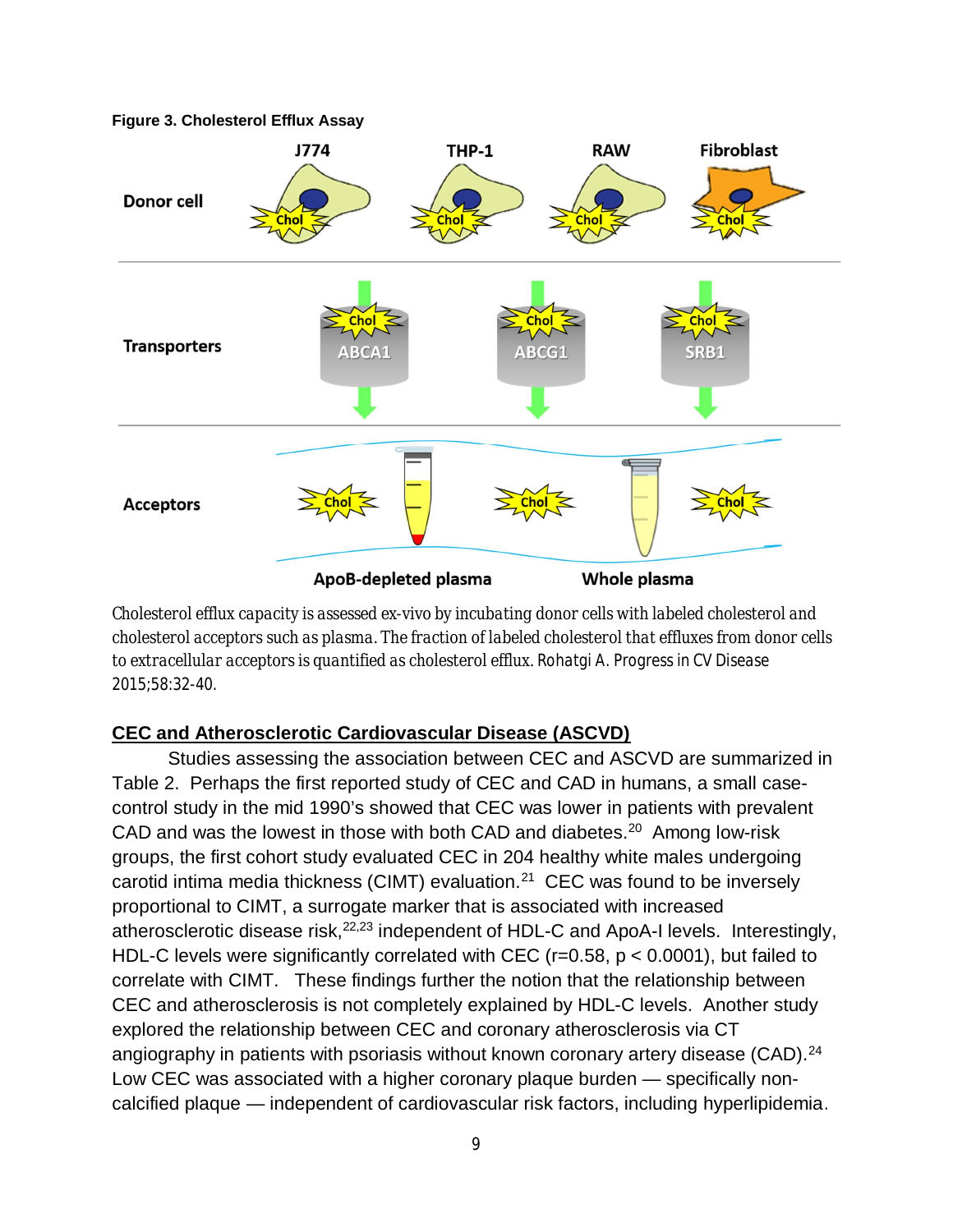

*Cholesterol efflux capacity is assessed ex-vivo by incubating donor cells with labeled cholesterol and cholesterol acceptors such as plasma. The fraction of labeled cholesterol that effluxes from donor cells to extracellular acceptors is quantified as cholesterol efflux. Rohatgi A. Progress in CV Disease 2015;58:32-40.*

#### **CEC and Atherosclerotic Cardiovascular Disease (ASCVD)**

Studies assessing the association between CEC and ASCVD are summarized in Table 2. Perhaps the first reported study of CEC and CAD in humans, a small casecontrol study in the mid 1990's showed that CEC was lower in patients with prevalent CAD and was the lowest in those with both CAD and diabetes.<sup>20</sup> Among low-risk groups, the first cohort study evaluated CEC in 204 healthy white males undergoing carotid intima media thickness (CIMT) evaluation.<sup>21</sup> CEC was found to be inversely proportional to CIMT, a surrogate marker that is associated with increased atherosclerotic disease risk,<sup>22,23</sup> independent of HDL-C and ApoA-I levels. Interestingly, HDL-C levels were significantly correlated with CEC (r=0.58, p < 0.0001), but failed to correlate with CIMT. These findings further the notion that the relationship between CEC and atherosclerosis is not completely explained by HDL-C levels. Another study explored the relationship between CEC and coronary atherosclerosis via CT angiography in patients with psoriasis without known coronary artery disease (CAD).<sup>24</sup> Low CEC was associated with a higher coronary plaque burden — specifically noncalcified plaque — independent of cardiovascular risk factors, including hyperlipidemia.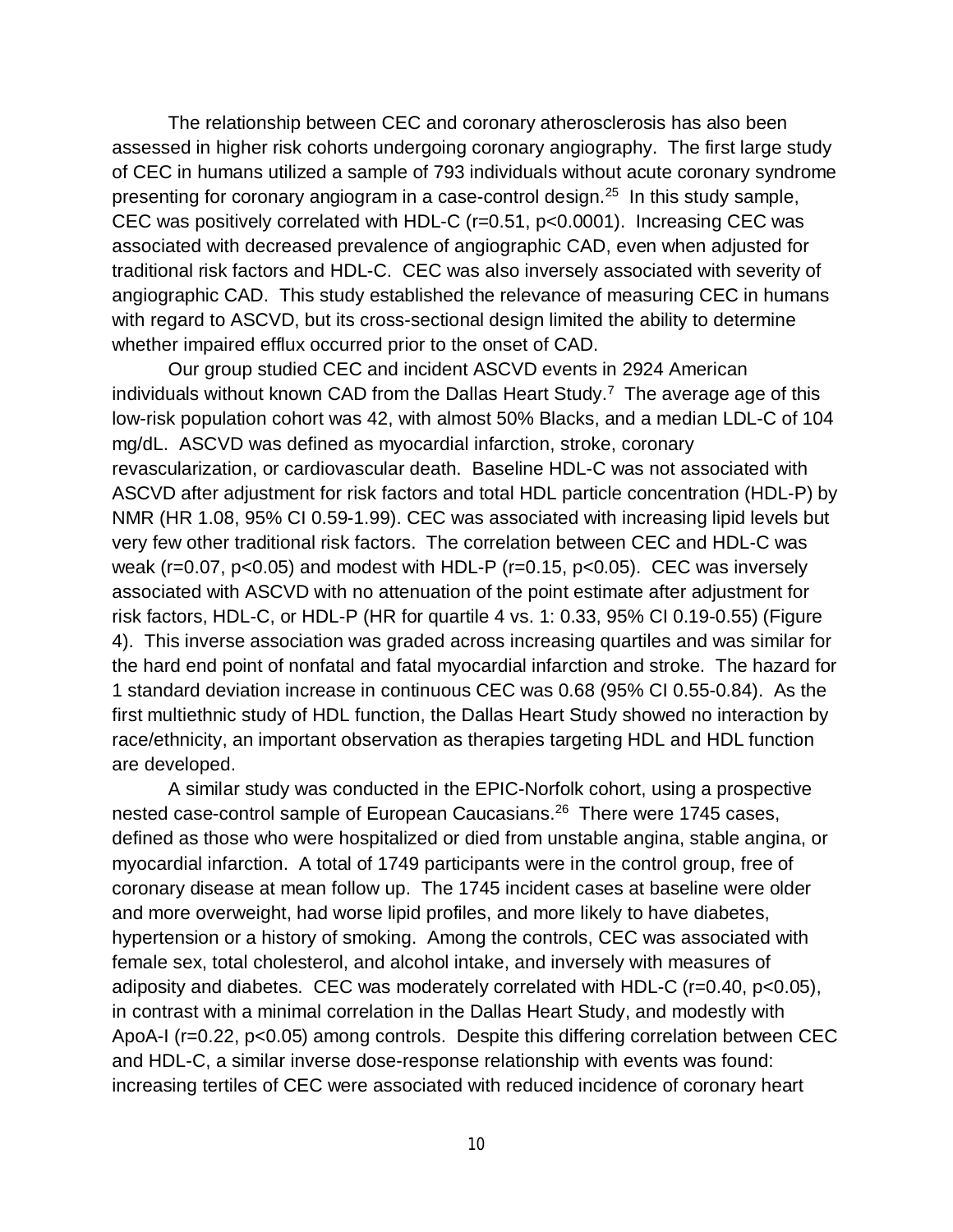The relationship between CEC and coronary atherosclerosis has also been assessed in higher risk cohorts undergoing coronary angiography. The first large study of CEC in humans utilized a sample of 793 individuals without acute coronary syndrome presenting for coronary angiogram in a case-control design.<sup>25</sup> In this study sample, CEC was positively correlated with HDL-C (r=0.51, p<0.0001). Increasing CEC was associated with decreased prevalence of angiographic CAD, even when adjusted for traditional risk factors and HDL-C. CEC was also inversely associated with severity of angiographic CAD. This study established the relevance of measuring CEC in humans with regard to ASCVD, but its cross-sectional design limited the ability to determine whether impaired efflux occurred prior to the onset of CAD.

Our group studied CEC and incident ASCVD events in 2924 American individuals without known CAD from the Dallas Heart Study.<sup>7</sup> The average age of this low-risk population cohort was 42, with almost 50% Blacks, and a median LDL-C of 104 mg/dL. ASCVD was defined as myocardial infarction, stroke, coronary revascularization, or cardiovascular death. Baseline HDL-C was not associated with ASCVD after adjustment for risk factors and total HDL particle concentration (HDL-P) by NMR (HR 1.08, 95% CI 0.59-1.99). CEC was associated with increasing lipid levels but very few other traditional risk factors. The correlation between CEC and HDL-C was weak (r=0.07, p<0.05) and modest with HDL-P (r=0.15, p<0.05). CEC was inversely associated with ASCVD with no attenuation of the point estimate after adjustment for risk factors, HDL-C, or HDL-P (HR for quartile 4 vs. 1: 0.33, 95% CI 0.19-0.55) (Figure 4). This inverse association was graded across increasing quartiles and was similar for the hard end point of nonfatal and fatal myocardial infarction and stroke. The hazard for 1 standard deviation increase in continuous CEC was 0.68 (95% CI 0.55-0.84). As the first multiethnic study of HDL function, the Dallas Heart Study showed no interaction by race/ethnicity, an important observation as therapies targeting HDL and HDL function are developed.

A similar study was conducted in the EPIC-Norfolk cohort, using a prospective nested case-control sample of European Caucasians.<sup>26</sup> There were 1745 cases, defined as those who were hospitalized or died from unstable angina, stable angina, or myocardial infarction. A total of 1749 participants were in the control group, free of coronary disease at mean follow up. The 1745 incident cases at baseline were older and more overweight, had worse lipid profiles, and more likely to have diabetes, hypertension or a history of smoking. Among the controls, CEC was associated with female sex, total cholesterol, and alcohol intake, and inversely with measures of adiposity and diabetes. CEC was moderately correlated with HDL-C (r=0.40, p<0.05), in contrast with a minimal correlation in the Dallas Heart Study, and modestly with ApoA-I (r=0.22, p<0.05) among controls. Despite this differing correlation between CEC and HDL-C, a similar inverse dose-response relationship with events was found: increasing tertiles of CEC were associated with reduced incidence of coronary heart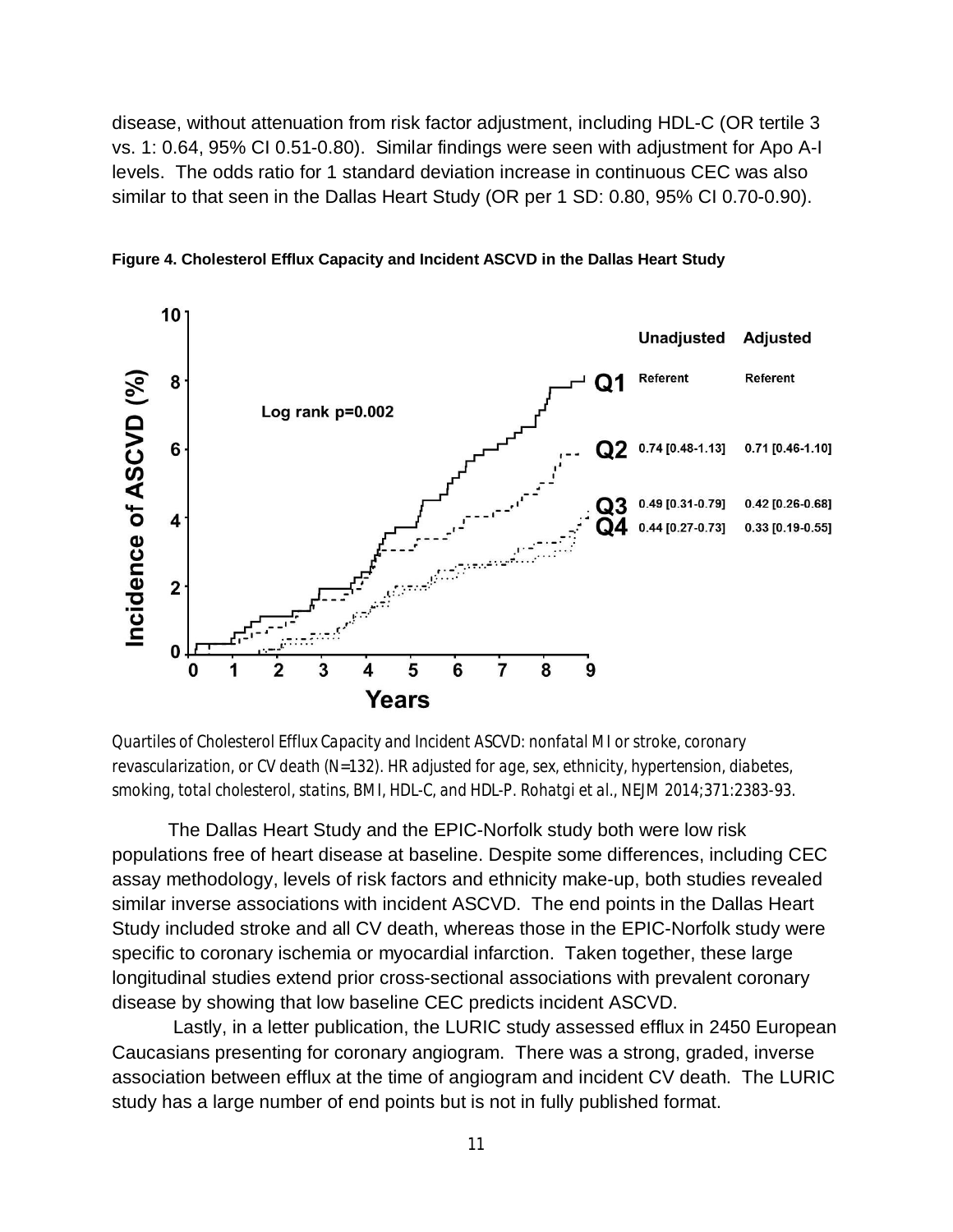disease, without attenuation from risk factor adjustment, including HDL-C (OR tertile 3 vs. 1: 0.64, 95% CI 0.51-0.80). Similar findings were seen with adjustment for Apo A-I levels. The odds ratio for 1 standard deviation increase in continuous CEC was also similar to that seen in the Dallas Heart Study (OR per 1 SD: 0.80, 95% CI 0.70-0.90).



**Figure 4. Cholesterol Efflux Capacity and Incident ASCVD in the Dallas Heart Study**

*Quartiles of Cholesterol Efflux Capacity and Incident ASCVD: nonfatal MI or stroke, coronary revascularization, or CV death (N=132). HR adjusted for age, sex, ethnicity, hypertension, diabetes, smoking, total cholesterol, statins, BMI, HDL-C, and HDL-P. Rohatgi et al., NEJM 2014;371:2383-93.*

The Dallas Heart Study and the EPIC-Norfolk study both were low risk populations free of heart disease at baseline. Despite some differences, including CEC assay methodology, levels of risk factors and ethnicity make-up, both studies revealed similar inverse associations with incident ASCVD. The end points in the Dallas Heart Study included stroke and all CV death, whereas those in the EPIC-Norfolk study were specific to coronary ischemia or myocardial infarction. Taken together, these large longitudinal studies extend prior cross-sectional associations with prevalent coronary disease by showing that low baseline CEC predicts incident ASCVD.

 Lastly, in a letter publication, the LURIC study assessed efflux in 2450 European Caucasians presenting for coronary angiogram. There was a strong, graded, inverse association between efflux at the time of angiogram and incident CV death. The LURIC study has a large number of end points but is not in fully published format.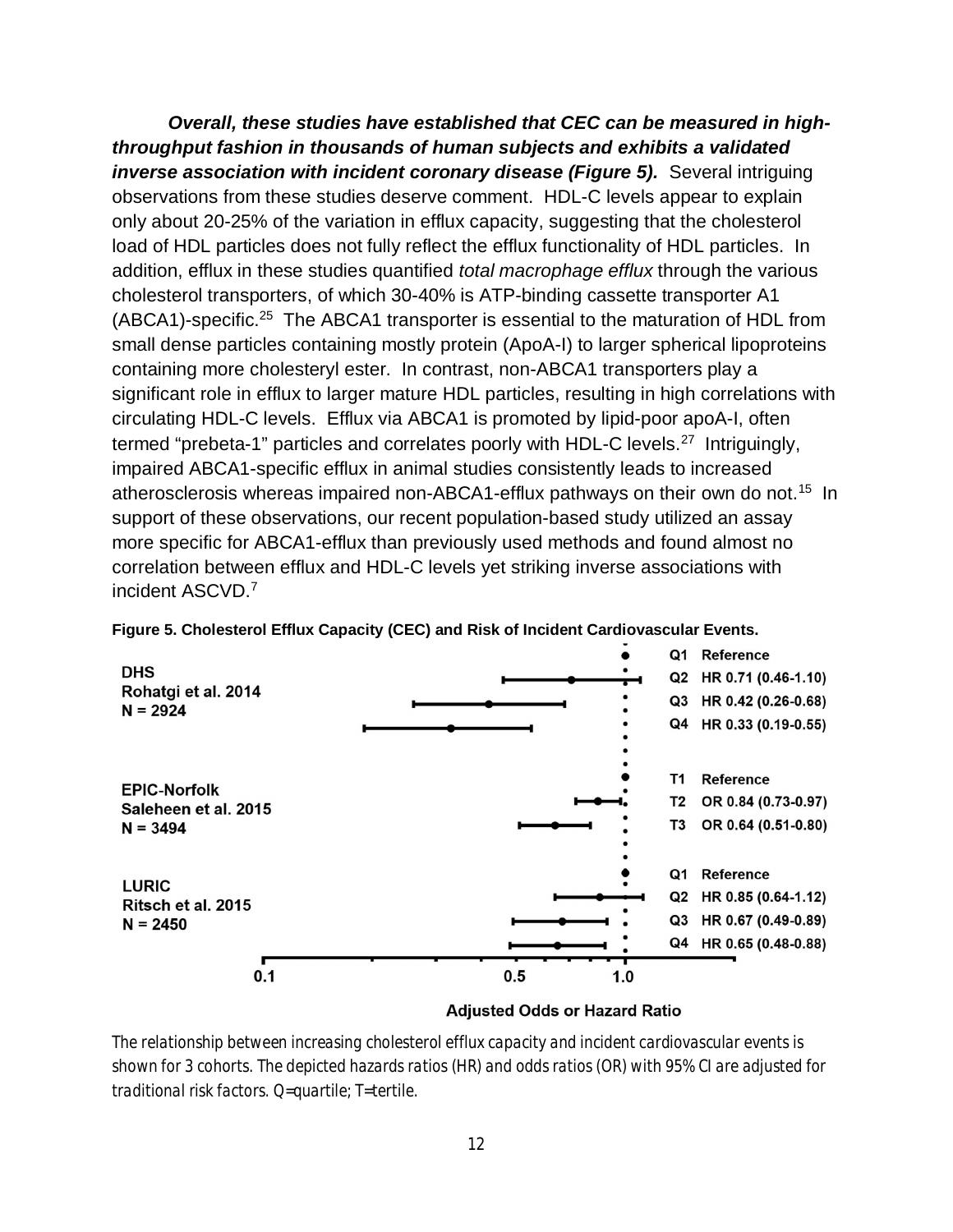*Overall, these studies have established that CEC can be measured in highthroughput fashion in thousands of human subjects and exhibits a validated inverse association with incident coronary disease (Figure 5).* Several intriguing observations from these studies deserve comment. HDL-C levels appear to explain only about 20-25% of the variation in efflux capacity, suggesting that the cholesterol load of HDL particles does not fully reflect the efflux functionality of HDL particles. In addition, efflux in these studies quantified *total macrophage efflux* through the various cholesterol transporters, of which 30-40% is ATP-binding cassette transporter A1 (ABCA1)-specific.<sup>25</sup> The ABCA1 transporter is essential to the maturation of HDL from small dense particles containing mostly protein (ApoA-I) to larger spherical lipoproteins containing more cholesteryl ester. In contrast, non-ABCA1 transporters play a significant role in efflux to larger mature HDL particles, resulting in high correlations with circulating HDL-C levels. Efflux via ABCA1 is promoted by lipid-poor apoA-I, often termed "prebeta-1" particles and correlates poorly with HDL-C levels.<sup>27</sup> Intriguingly, impaired ABCA1-specific efflux in animal studies consistently leads to increased atherosclerosis whereas impaired non-ABCA1-efflux pathways on their own do not.<sup>15</sup> In support of these observations, our recent population-based study utilized an assay more specific for ABCA1-efflux than previously used methods and found almost no correlation between efflux and HDL-C levels yet striking inverse associations with incident ASCVD.<sup>7</sup>



**Figure 5. Cholesterol Efflux Capacity (CEC) and Risk of Incident Cardiovascular Events.**

#### **Adjusted Odds or Hazard Ratio**

*The relationship between increasing cholesterol efflux capacity and incident cardiovascular events is shown for 3 cohorts. The depicted hazards ratios (HR) and odds ratios (OR) with 95% CI are adjusted for traditional risk factors. Q=quartile; T=tertile.*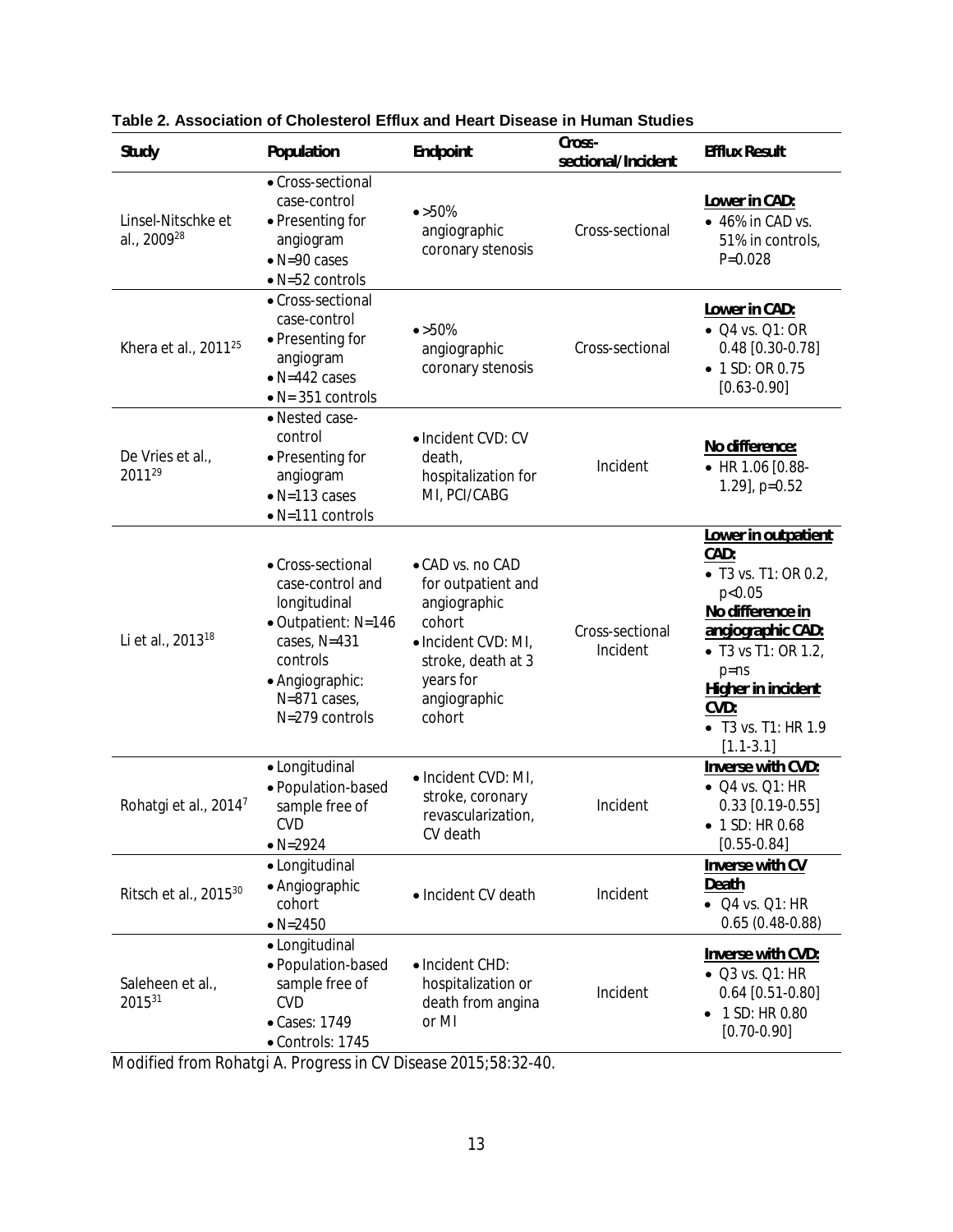| Study                                         | Population                                                                                                                                                    | Endpoint                                                                                                                                             | Cross-<br>sectional/Incident | <b>Efflux Result</b>                                                                                                                                                                                            |
|-----------------------------------------------|---------------------------------------------------------------------------------------------------------------------------------------------------------------|------------------------------------------------------------------------------------------------------------------------------------------------------|------------------------------|-----------------------------------------------------------------------------------------------------------------------------------------------------------------------------------------------------------------|
| Linsel-Nitschke et<br>al., 2009 <sup>28</sup> | • Cross-sectional<br>case-control<br>• Presenting for<br>angiogram<br>$\bullet$ N=90 cases<br>$\bullet$ N=52 controls                                         | $\bullet$ >50%<br>angiographic<br>coronary stenosis                                                                                                  | Cross-sectional              | Lower in CAD:<br>• 46% in CAD vs.<br>51% in controls,<br>$P = 0.028$                                                                                                                                            |
| Khera et al., 2011 <sup>25</sup>              | • Cross-sectional<br>case-control<br>• Presenting for<br>angiogram<br>$\bullet$ N=442 cases<br>$\bullet$ N= 351 controls                                      | $\bullet$ >50%<br>angiographic<br>coronary stenosis                                                                                                  | Cross-sectional              | Lower in CAD:<br>• Q4 vs. Q1: OR<br>$0.48$ [0.30-0.78]<br>• 1 SD: OR 0.75<br>$[0.63 - 0.90]$                                                                                                                    |
| De Vries et al.,<br>201129                    | • Nested case-<br>control<br>• Presenting for<br>angiogram<br>$\bullet$ N=113 cases<br>$\bullet$ N=111 controls                                               | · Incident CVD: CV<br>death,<br>hospitalization for<br>MI, PCI/CABG                                                                                  | Incident                     | No difference:<br>• HR 1.06 [0.88-<br>$1.29$ ], $p=0.52$                                                                                                                                                        |
| Li et al., 2013 <sup>18</sup>                 | • Cross-sectional<br>case-control and<br>longitudinal<br>• Outpatient: N=146<br>cases, N=431<br>controls<br>• Angiographic:<br>N=871 cases,<br>N=279 controls | • CAD vs. no CAD<br>for outpatient and<br>angiographic<br>cohort<br>• Incident CVD: MI,<br>stroke, death at 3<br>years for<br>angiographic<br>cohort | Cross-sectional<br>Incident  | Lower in outpatient<br>CAD:<br>• T3 vs. T1: OR 0.2,<br>p<0.05<br>No difference in<br>angiographic CAD:<br>• T3 vs T1: OR 1.2,<br>$p = ns$<br>Higher in incident<br>CVD:<br>• T3 vs. T1: HR 1.9<br>$[1.1 - 3.1]$ |
| Rohatgi et al., 2014 <sup>7</sup>             | • Longitudinal<br>· Population-based<br>sample free of<br>CVD<br>$\bullet$ N=2924                                                                             | • Incident CVD: MI,<br>stroke, coronary<br>revascularization,<br>CV death                                                                            | Incident                     | Inverse with CVD:<br>• Q4 vs. Q1: HR<br>$0.33$ [0.19-0.55]<br>• 1 SD: HR 0.68<br>$[0.55 - 0.84]$                                                                                                                |
| Ritsch et al., 2015 <sup>30</sup>             | • Longitudinal<br>• Angiographic<br>cohort<br>$\bullet$ N=2450                                                                                                | • Incident CV death                                                                                                                                  | Incident                     | Inverse with CV<br>Death<br>$\bullet$ Q4 vs. Q1: HR<br>$0.65(0.48-0.88)$                                                                                                                                        |
| Saleheen et al.,<br>201531                    | • Longitudinal<br>· Population-based<br>sample free of<br><b>CVD</b><br>· Cases: 1749<br>• Controls: 1745                                                     | • Incident CHD:<br>hospitalization or<br>death from angina<br>or MI                                                                                  | Incident                     | Inverse with CVD:<br>• Q3 vs. Q1: HR<br>$0.64$ [0.51-0.80]<br>• 1 SD: HR 0.80<br>$[0.70 - 0.90]$                                                                                                                |

*Modified from Rohatgi A. Progress in CV Disease 2015;58:32-40.*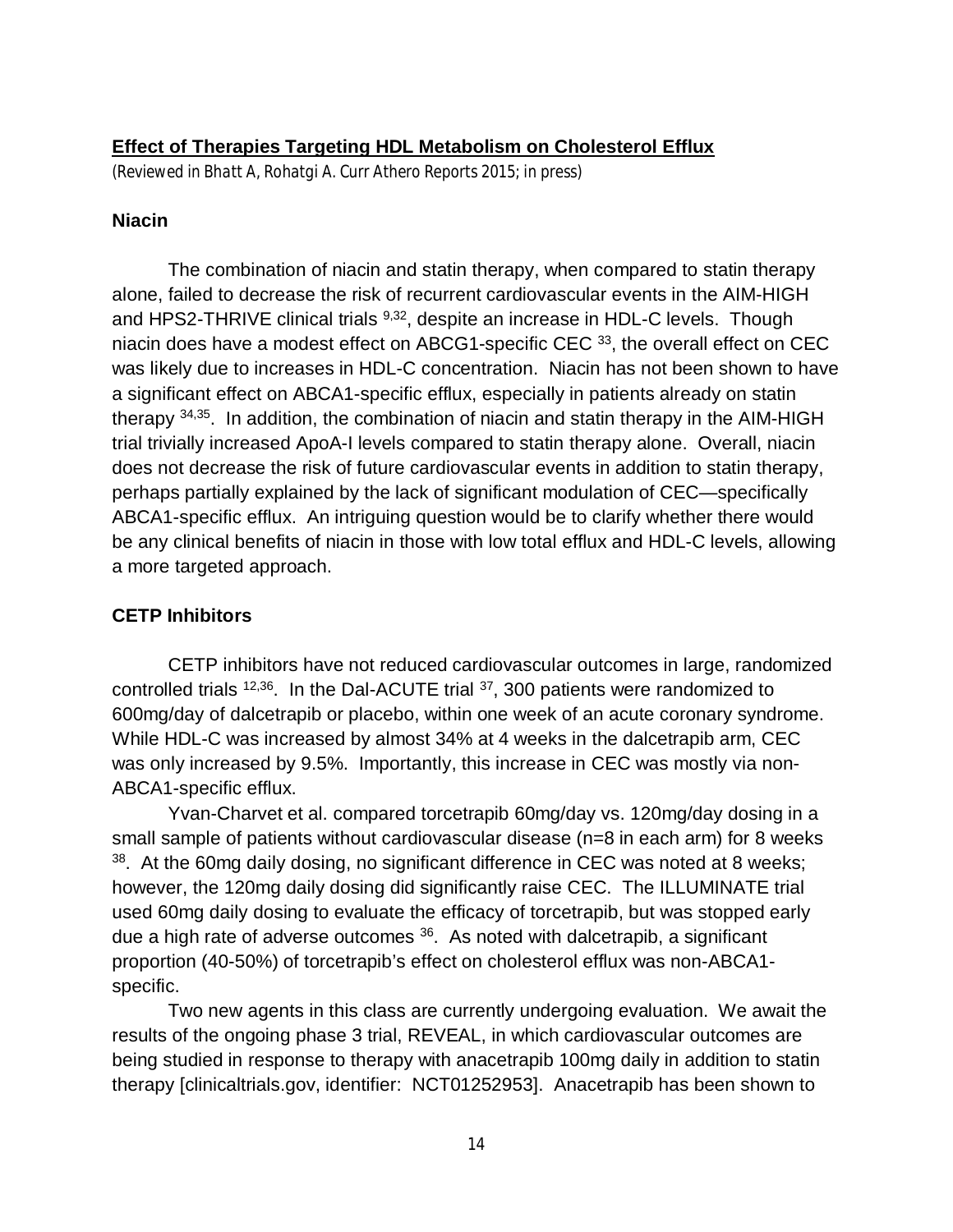#### **Effect of Therapies Targeting HDL Metabolism on Cholesterol Efflux**

*(Reviewed in Bhatt A, Rohatgi A. Curr Athero Reports 2015; in press)*

#### **Niacin**

The combination of niacin and statin therapy, when compared to statin therapy alone, failed to decrease the risk of recurrent cardiovascular events in the AIM-HIGH and HPS2-THRIVE clinical trials <sup>9,32</sup>, despite an increase in HDL-C levels. Though niacin does have a modest effect on ABCG1-specific CEC <sup>33</sup>, the overall effect on CEC was likely due to increases in HDL-C concentration. Niacin has not been shown to have a significant effect on ABCA1-specific efflux, especially in patients already on statin therapy <sup>34,35</sup>. In addition, the combination of niacin and statin therapy in the AIM-HIGH trial trivially increased ApoA-I levels compared to statin therapy alone. Overall, niacin does not decrease the risk of future cardiovascular events in addition to statin therapy, perhaps partially explained by the lack of significant modulation of CEC—specifically ABCA1-specific efflux. An intriguing question would be to clarify whether there would be any clinical benefits of niacin in those with low total efflux and HDL-C levels, allowing a more targeted approach.

#### **CETP Inhibitors**

CETP inhibitors have not reduced cardiovascular outcomes in large, randomized controlled trials 12,36. In the Dal-ACUTE trial <sup>37</sup>, 300 patients were randomized to 600mg/day of dalcetrapib or placebo, within one week of an acute coronary syndrome. While HDL-C was increased by almost 34% at 4 weeks in the dalcetrapib arm, CEC was only increased by 9.5%. Importantly, this increase in CEC was mostly via non-ABCA1-specific efflux.

Yvan-Charvet et al. compared torcetrapib 60mg/day vs. 120mg/day dosing in a small sample of patients without cardiovascular disease (n=8 in each arm) for 8 weeks  $38$ . At the 60mg daily dosing, no significant difference in CEC was noted at 8 weeks; however, the 120mg daily dosing did significantly raise CEC. The ILLUMINATE trial used 60mg daily dosing to evaluate the efficacy of torcetrapib, but was stopped early due a high rate of adverse outcomes <sup>36</sup>. As noted with dalcetrapib, a significant proportion (40-50%) of torcetrapib's effect on cholesterol efflux was non-ABCA1 specific.

Two new agents in this class are currently undergoing evaluation. We await the results of the ongoing phase 3 trial, REVEAL, in which cardiovascular outcomes are being studied in response to therapy with anacetrapib 100mg daily in addition to statin therapy [clinicaltrials.gov, identifier: NCT01252953]. Anacetrapib has been shown to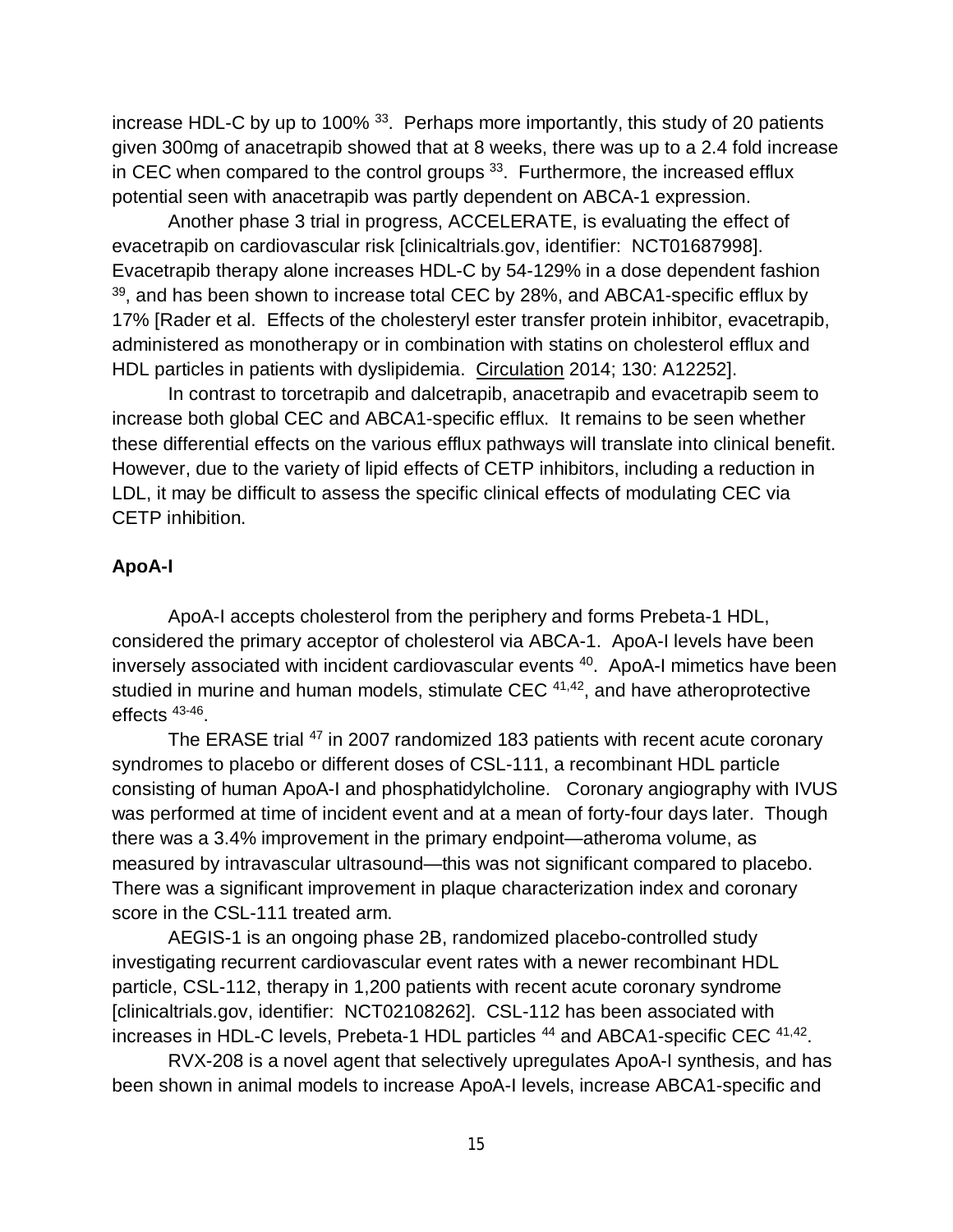increase HDL-C by up to 100% <sup>33</sup>. Perhaps more importantly, this study of 20 patients given 300mg of anacetrapib showed that at 8 weeks, there was up to a 2.4 fold increase in CEC when compared to the control groups  $33$ . Furthermore, the increased efflux potential seen with anacetrapib was partly dependent on ABCA-1 expression.

Another phase 3 trial in progress, ACCELERATE, is evaluating the effect of evacetrapib on cardiovascular risk [clinicaltrials.gov, identifier: NCT01687998]. Evacetrapib therapy alone increases HDL-C by 54-129% in a dose dependent fashion 39, and has been shown to increase total CEC by 28%, and ABCA1-specific efflux by 17% [Rader et al. Effects of the cholesteryl ester transfer protein inhibitor, evacetrapib, administered as monotherapy or in combination with statins on cholesterol efflux and HDL particles in patients with dyslipidemia. Circulation 2014; 130: A12252].

In contrast to torcetrapib and dalcetrapib, anacetrapib and evacetrapib seem to increase both global CEC and ABCA1-specific efflux. It remains to be seen whether these differential effects on the various efflux pathways will translate into clinical benefit. However, due to the variety of lipid effects of CETP inhibitors, including a reduction in LDL, it may be difficult to assess the specific clinical effects of modulating CEC via CETP inhibition.

#### **ApoA-I**

ApoA-I accepts cholesterol from the periphery and forms Prebeta-1 HDL, considered the primary acceptor of cholesterol via ABCA-1. ApoA-I levels have been inversely associated with incident cardiovascular events <sup>40</sup>. ApoA-I mimetics have been studied in murine and human models, stimulate CEC <sup>41,42</sup>, and have atheroprotective effects 43-46 .

The ERASE trial <sup>47</sup> in 2007 randomized 183 patients with recent acute coronary syndromes to placebo or different doses of CSL-111, a recombinant HDL particle consisting of human ApoA-I and phosphatidylcholine. Coronary angiography with IVUS was performed at time of incident event and at a mean of forty-four days later. Though there was a 3.4% improvement in the primary endpoint—atheroma volume, as measured by intravascular ultrasound—this was not significant compared to placebo. There was a significant improvement in plaque characterization index and coronary score in the CSL-111 treated arm.

AEGIS-1 is an ongoing phase 2B, randomized placebo-controlled study investigating recurrent cardiovascular event rates with a newer recombinant HDL particle, CSL-112, therapy in 1,200 patients with recent acute coronary syndrome [clinicaltrials.gov, identifier: NCT02108262]. CSL-112 has been associated with increases in HDL-C levels, Prebeta-1 HDL particles <sup>44</sup> and ABCA1-specific CEC <sup>41,42</sup>.

RVX-208 is a novel agent that selectively upregulates ApoA-I synthesis, and has been shown in animal models to increase ApoA-I levels, increase ABCA1-specific and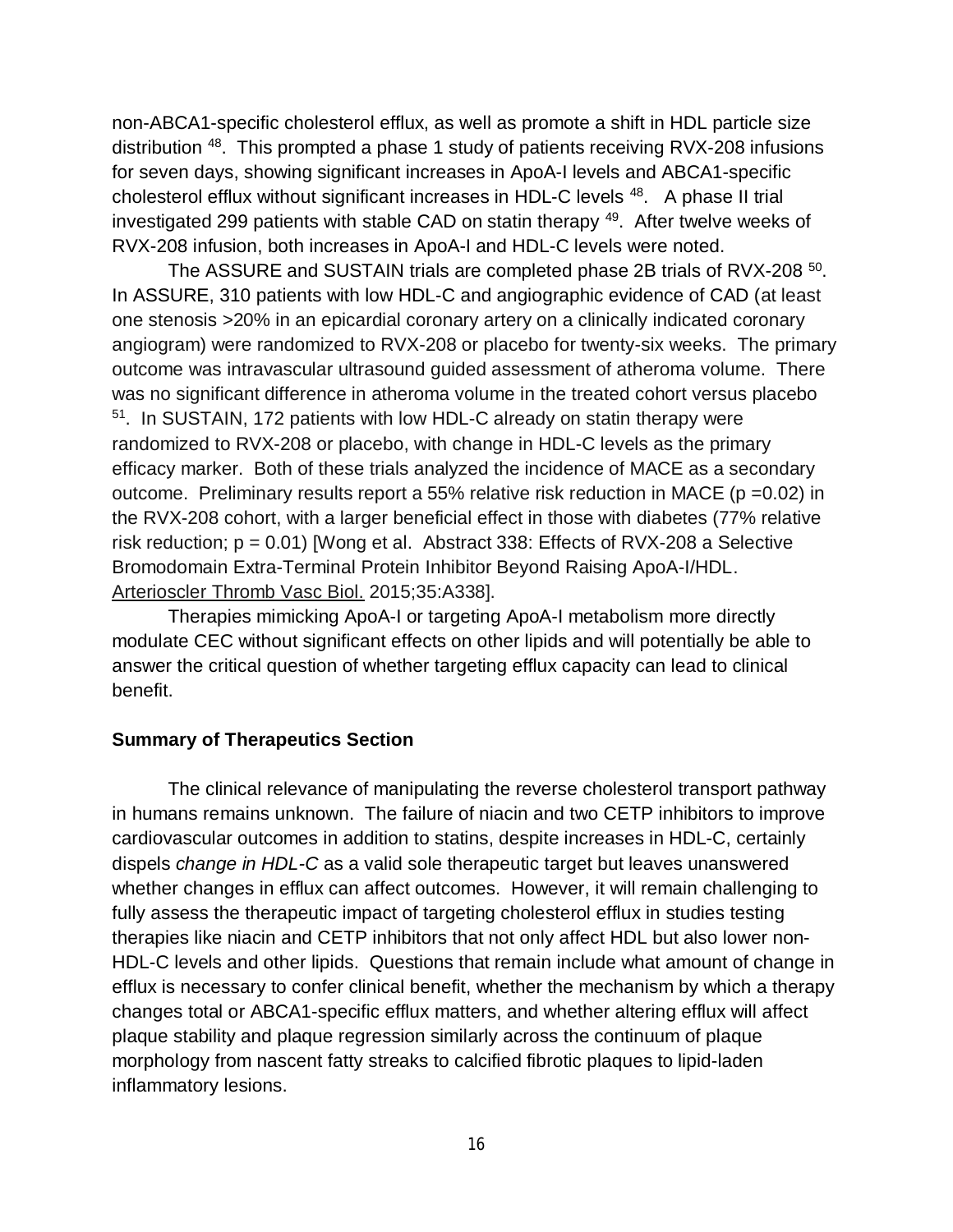non-ABCA1-specific cholesterol efflux, as well as promote a shift in HDL particle size distribution <sup>48</sup>. This prompted a phase 1 study of patients receiving RVX-208 infusions for seven days, showing significant increases in ApoA-I levels and ABCA1-specific cholesterol efflux without significant increases in HDL-C levels <sup>48</sup>. A phase II trial investigated 299 patients with stable CAD on statin therapy <sup>49</sup>. After twelve weeks of RVX-208 infusion, both increases in ApoA-I and HDL-C levels were noted.

The ASSURE and SUSTAIN trials are completed phase 2B trials of RVX-208 <sup>50</sup>. In ASSURE, 310 patients with low HDL-C and angiographic evidence of CAD (at least one stenosis >20% in an epicardial coronary artery on a clinically indicated coronary angiogram) were randomized to RVX-208 or placebo for twenty-six weeks. The primary outcome was intravascular ultrasound guided assessment of atheroma volume. There was no significant difference in atheroma volume in the treated cohort versus placebo <sup>51</sup>. In SUSTAIN, 172 patients with low HDL-C already on statin therapy were randomized to RVX-208 or placebo, with change in HDL-C levels as the primary efficacy marker. Both of these trials analyzed the incidence of MACE as a secondary outcome. Preliminary results report a 55% relative risk reduction in MACE (p =0.02) in the RVX-208 cohort, with a larger beneficial effect in those with diabetes (77% relative risk reduction;  $p = 0.01$ ) [Wong et al. Abstract 338: Effects of RVX-208 a Selective Bromodomain Extra-Terminal Protein Inhibitor Beyond Raising ApoA-I/HDL. Arterioscler Thromb Vasc Biol. 2015;35:A338].

Therapies mimicking ApoA-I or targeting ApoA-I metabolism more directly modulate CEC without significant effects on other lipids and will potentially be able to answer the critical question of whether targeting efflux capacity can lead to clinical benefit.

#### **Summary of Therapeutics Section**

The clinical relevance of manipulating the reverse cholesterol transport pathway in humans remains unknown. The failure of niacin and two CETP inhibitors to improve cardiovascular outcomes in addition to statins, despite increases in HDL-C, certainly dispels *change in HDL-C* as a valid sole therapeutic target but leaves unanswered whether changes in efflux can affect outcomes. However, it will remain challenging to fully assess the therapeutic impact of targeting cholesterol efflux in studies testing therapies like niacin and CETP inhibitors that not only affect HDL but also lower non-HDL-C levels and other lipids. Questions that remain include what amount of change in efflux is necessary to confer clinical benefit, whether the mechanism by which a therapy changes total or ABCA1-specific efflux matters, and whether altering efflux will affect plaque stability and plaque regression similarly across the continuum of plaque morphology from nascent fatty streaks to calcified fibrotic plaques to lipid-laden inflammatory lesions.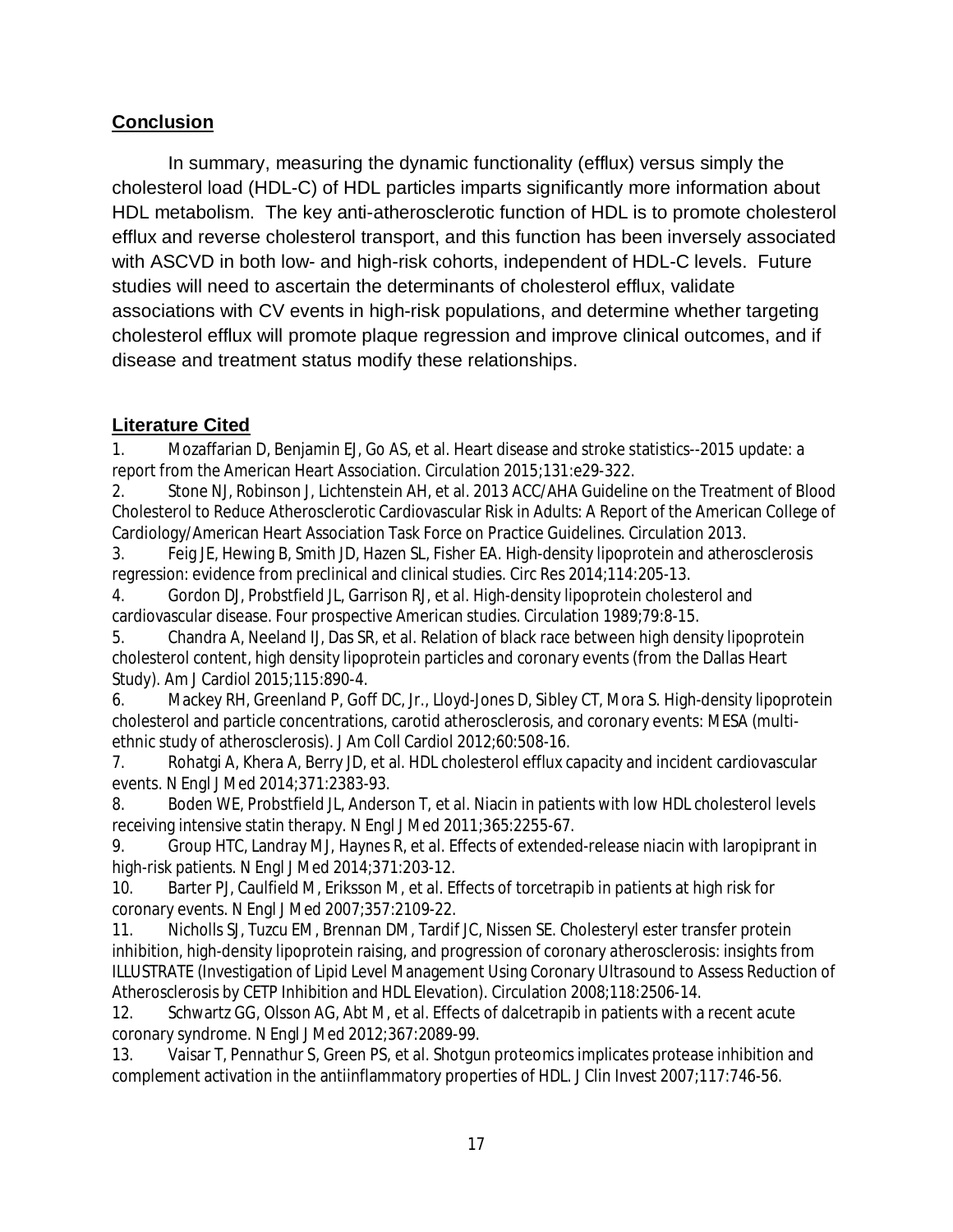## **Conclusion**

In summary, measuring the dynamic functionality (efflux) versus simply the cholesterol load (HDL-C) of HDL particles imparts significantly more information about HDL metabolism. The key anti-atherosclerotic function of HDL is to promote cholesterol efflux and reverse cholesterol transport, and this function has been inversely associated with ASCVD in both low- and high-risk cohorts, independent of HDL-C levels. Future studies will need to ascertain the determinants of cholesterol efflux, validate associations with CV events in high-risk populations, and determine whether targeting cholesterol efflux will promote plaque regression and improve clinical outcomes, and if disease and treatment status modify these relationships.

## **Literature Cited**

1. Mozaffarian D, Benjamin EJ, Go AS, et al. Heart disease and stroke statistics--2015 update: a report from the American Heart Association. Circulation 2015;131:e29-322.

2. Stone NJ, Robinson J, Lichtenstein AH, et al. 2013 ACC/AHA Guideline on the Treatment of Blood Cholesterol to Reduce Atherosclerotic Cardiovascular Risk in Adults: A Report of the American College of Cardiology/American Heart Association Task Force on Practice Guidelines. Circulation 2013.

3. Feig JE, Hewing B, Smith JD, Hazen SL, Fisher EA. High-density lipoprotein and atherosclerosis regression: evidence from preclinical and clinical studies. Circ Res 2014;114:205-13.

4. Gordon DJ, Probstfield JL, Garrison RJ, et al. High-density lipoprotein cholesterol and cardiovascular disease. Four prospective American studies. Circulation 1989;79:8-15.

5. Chandra A, Neeland IJ, Das SR, et al. Relation of black race between high density lipoprotein cholesterol content, high density lipoprotein particles and coronary events (from the Dallas Heart Study). Am J Cardiol 2015;115:890-4.

6. Mackey RH, Greenland P, Goff DC, Jr., Lloyd-Jones D, Sibley CT, Mora S. High-density lipoprotein cholesterol and particle concentrations, carotid atherosclerosis, and coronary events: MESA (multiethnic study of atherosclerosis). J Am Coll Cardiol 2012;60:508-16.

7. Rohatgi A, Khera A, Berry JD, et al. HDL cholesterol efflux capacity and incident cardiovascular events. N Engl J Med 2014;371:2383-93.

8. Boden WE, Probstfield JL, Anderson T, et al. Niacin in patients with low HDL cholesterol levels receiving intensive statin therapy. N Engl J Med 2011;365:2255-67.

9. Group HTC, Landray MJ, Haynes R, et al. Effects of extended-release niacin with laropiprant in high-risk patients. N Engl J Med 2014;371:203-12.

10. Barter PJ, Caulfield M, Eriksson M, et al. Effects of torcetrapib in patients at high risk for coronary events. N Engl J Med 2007;357:2109-22.

11. Nicholls SJ, Tuzcu EM, Brennan DM, Tardif JC, Nissen SE. Cholesteryl ester transfer protein inhibition, high-density lipoprotein raising, and progression of coronary atherosclerosis: insights from ILLUSTRATE (Investigation of Lipid Level Management Using Coronary Ultrasound to Assess Reduction of Atherosclerosis by CETP Inhibition and HDL Elevation). Circulation 2008;118:2506-14.

12. Schwartz GG, Olsson AG, Abt M, et al. Effects of dalcetrapib in patients with a recent acute coronary syndrome. N Engl J Med 2012;367:2089-99.

13. Vaisar T, Pennathur S, Green PS, et al. Shotgun proteomics implicates protease inhibition and complement activation in the antiinflammatory properties of HDL. J Clin Invest 2007;117:746-56.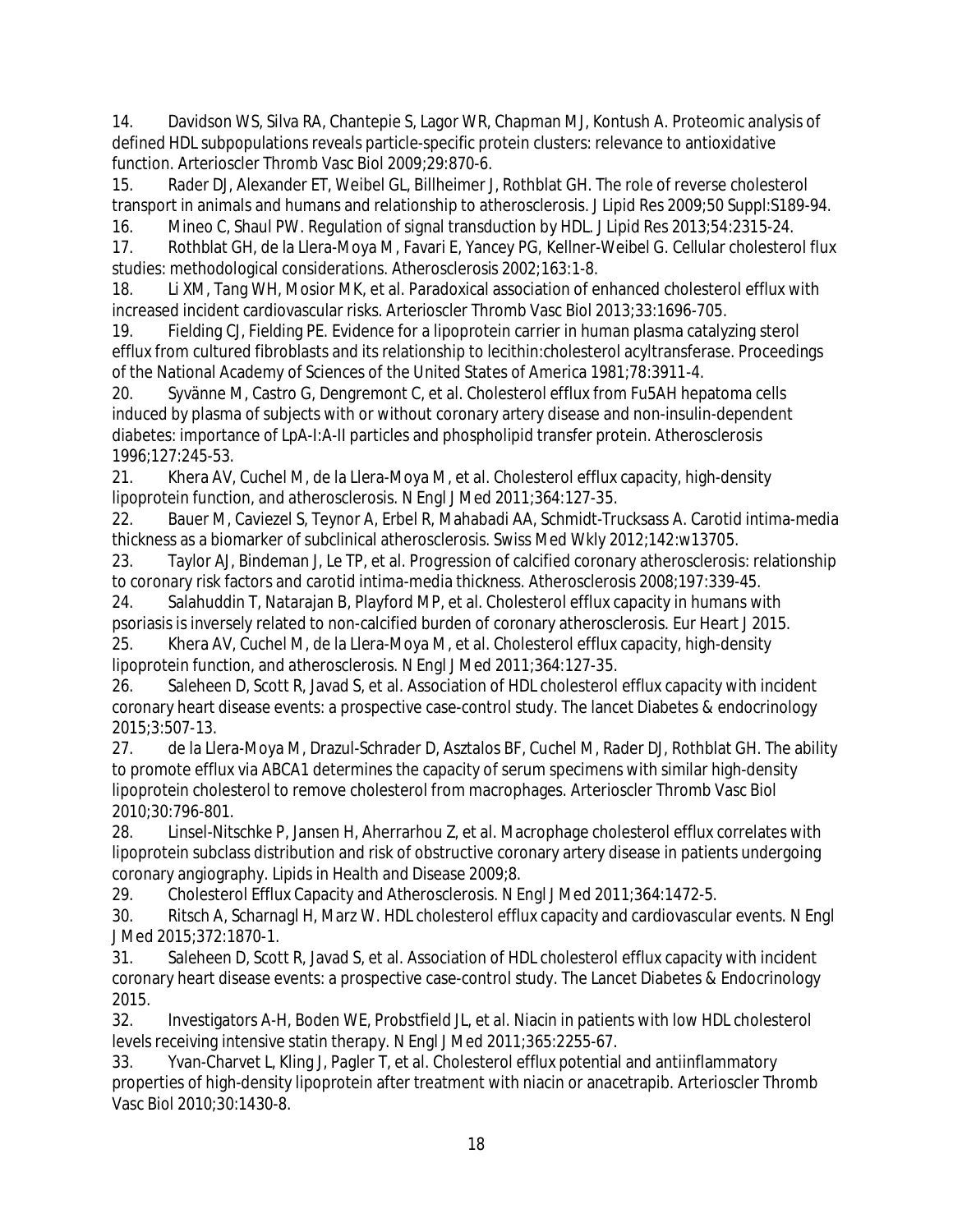14. Davidson WS, Silva RA, Chantepie S, Lagor WR, Chapman MJ, Kontush A. Proteomic analysis of defined HDL subpopulations reveals particle-specific protein clusters: relevance to antioxidative function. Arterioscler Thromb Vasc Biol 2009;29:870-6.

15. Rader DJ, Alexander ET, Weibel GL, Billheimer J, Rothblat GH. The role of reverse cholesterol transport in animals and humans and relationship to atherosclerosis. J Lipid Res 2009;50 Suppl:S189-94.

16. Mineo C, Shaul PW. Regulation of signal transduction by HDL. J Lipid Res 2013;54:2315-24.

17. Rothblat GH, de la Llera-Moya M, Favari E, Yancey PG, Kellner-Weibel G. Cellular cholesterol flux studies: methodological considerations. Atherosclerosis 2002;163:1-8.

18. Li XM, Tang WH, Mosior MK, et al. Paradoxical association of enhanced cholesterol efflux with increased incident cardiovascular risks. Arterioscler Thromb Vasc Biol 2013;33:1696-705.

19. Fielding CJ, Fielding PE. Evidence for a lipoprotein carrier in human plasma catalyzing sterol efflux from cultured fibroblasts and its relationship to lecithin:cholesterol acyltransferase. Proceedings of the National Academy of Sciences of the United States of America 1981;78:3911-4.

20. Syvänne M, Castro G, Dengremont C, et al. Cholesterol efflux from Fu5AH hepatoma cells induced by plasma of subjects with or without coronary artery disease and non-insulin-dependent diabetes: importance of LpA-I:A-II particles and phospholipid transfer protein. Atherosclerosis 1996;127:245-53.

21. Khera AV, Cuchel M, de la Llera-Moya M, et al. Cholesterol efflux capacity, high-density lipoprotein function, and atherosclerosis. N Engl J Med 2011;364:127-35.

22. Bauer M, Caviezel S, Teynor A, Erbel R, Mahabadi AA, Schmidt-Trucksass A. Carotid intima-media thickness as a biomarker of subclinical atherosclerosis. Swiss Med Wkly 2012;142:w13705.

23. Taylor AJ, Bindeman J, Le TP, et al. Progression of calcified coronary atherosclerosis: relationship to coronary risk factors and carotid intima-media thickness. Atherosclerosis 2008;197:339-45.

24. Salahuddin T, Natarajan B, Playford MP, et al. Cholesterol efflux capacity in humans with psoriasis is inversely related to non-calcified burden of coronary atherosclerosis. Eur Heart J 2015. 25. Khera AV, Cuchel M, de la Llera-Moya M, et al. Cholesterol efflux capacity, high-density

lipoprotein function, and atherosclerosis. N Engl J Med 2011;364:127-35.

26. Saleheen D, Scott R, Javad S, et al. Association of HDL cholesterol efflux capacity with incident coronary heart disease events: a prospective case-control study. The lancet Diabetes & endocrinology 2015;3:507-13.

27. de la Llera-Moya M, Drazul-Schrader D, Asztalos BF, Cuchel M, Rader DJ, Rothblat GH. The ability to promote efflux via ABCA1 determines the capacity of serum specimens with similar high-density lipoprotein cholesterol to remove cholesterol from macrophages. Arterioscler Thromb Vasc Biol 2010;30:796-801.

28. Linsel-Nitschke P, Jansen H, Aherrarhou Z, et al. Macrophage cholesterol efflux correlates with lipoprotein subclass distribution and risk of obstructive coronary artery disease in patients undergoing coronary angiography. Lipids in Health and Disease 2009;8.

29. Cholesterol Efflux Capacity and Atherosclerosis. N Engl J Med 2011;364:1472-5.

30. Ritsch A, Scharnagl H, Marz W. HDL cholesterol efflux capacity and cardiovascular events. N Engl J Med 2015;372:1870-1.

31. Saleheen D, Scott R, Javad S, et al. Association of HDL cholesterol efflux capacity with incident coronary heart disease events: a prospective case-control study. The Lancet Diabetes & Endocrinology 2015.

32. Investigators A-H, Boden WE, Probstfield JL, et al. Niacin in patients with low HDL cholesterol levels receiving intensive statin therapy. N Engl J Med 2011;365:2255-67.

33. Yvan-Charvet L, Kling J, Pagler T, et al. Cholesterol efflux potential and antiinflammatory properties of high-density lipoprotein after treatment with niacin or anacetrapib. Arterioscler Thromb Vasc Biol 2010;30:1430-8.